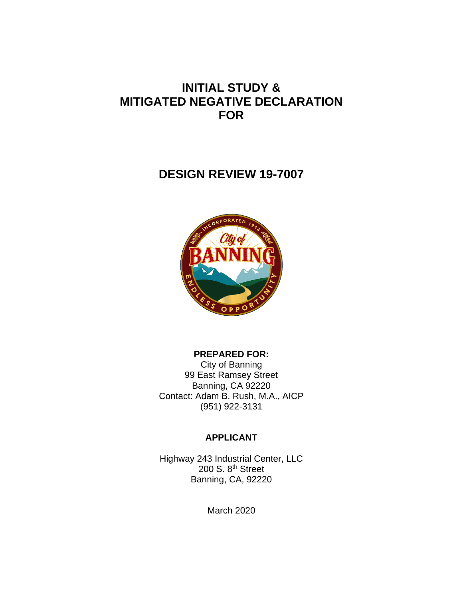# **INITIAL STUDY & MITIGATED NEGATIVE DECLARATION FOR**

# **DESIGN REVIEW 19-7007**



## **PREPARED FOR:**

City of Banning 99 East Ramsey Street Banning, CA 92220 Contact: Adam B. Rush, M.A., AICP (951) 922-3131

# **APPLICANT**

Highway 243 Industrial Center, LLC 200 S. 8<sup>th</sup> Street Banning, CA, 92220

March 2020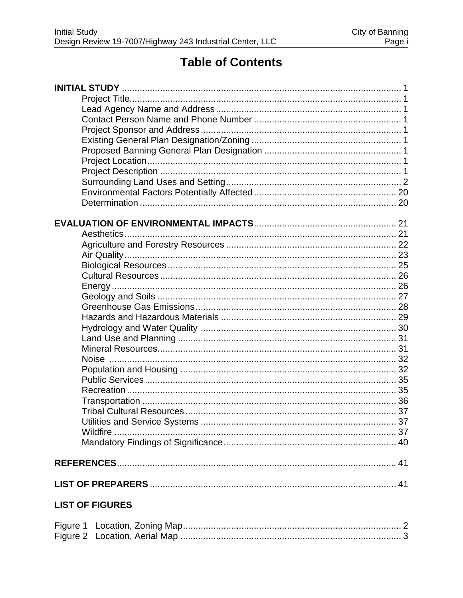# **Table of Contents**

| Wildfire               |  |
|------------------------|--|
|                        |  |
|                        |  |
|                        |  |
| <b>LIST OF FIGURES</b> |  |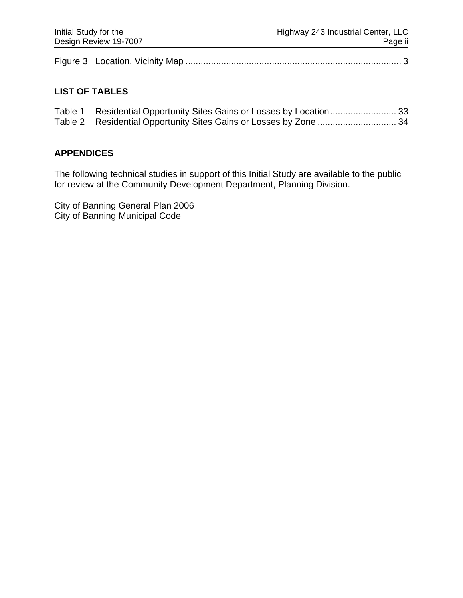|--|--|--|

# **LIST OF TABLES**

| Table 2 Residential Opportunity Sites Gains or Losses by Zone  34 |  |
|-------------------------------------------------------------------|--|

## **APPENDICES**

The following technical studies in support of this Initial Study are available to the public for review at the Community Development Department, Planning Division.

City of Banning General Plan 2006 City of Banning Municipal Code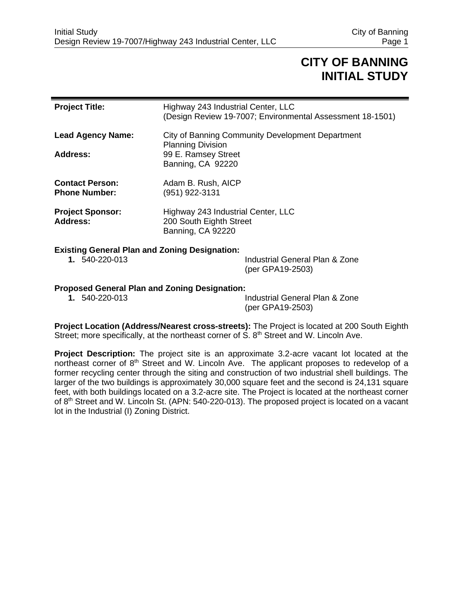# **CITY OF BANNING INITIAL STUDY**

| <b>Project Title:</b>                                                  | Highway 243 Industrial Center, LLC<br>(Design Review 19-7007; Environmental Assessment 18-1501) |
|------------------------------------------------------------------------|-------------------------------------------------------------------------------------------------|
| <b>Lead Agency Name:</b>                                               | City of Banning Community Development Department<br><b>Planning Division</b>                    |
| <b>Address:</b>                                                        | 99 E. Ramsey Street<br>Banning, CA 92220                                                        |
| <b>Contact Person:</b><br><b>Phone Number:</b>                         | Adam B. Rush, AICP<br>(951) 922-3131                                                            |
| <b>Project Sponsor:</b><br><b>Address:</b>                             | Highway 243 Industrial Center, LLC<br>200 South Eighth Street<br>Banning, CA 92220              |
| <b>Existing General Plan and Zoning Designation:</b><br>1. 540-220-013 | Industrial General Plan & Zone                                                                  |

# (per GPA19-2503)

#### **Proposed General Plan and Zoning Designation:**

**1.** 540-220-013 Industrial General Plan & Zone (per GPA19-2503)

**Project Location (Address/Nearest cross-streets):** The Project is located at 200 South Eighth Street; more specifically, at the northeast corner of  $S. 8<sup>th</sup>$  Street and W. Lincoln Ave.

**Project Description:** The project site is an approximate 3.2-acre vacant lot located at the northeast corner of 8th Street and W. Lincoln Ave. The applicant proposes to redevelop of a former recycling center through the siting and construction of two industrial shell buildings. The larger of the two buildings is approximately 30,000 square feet and the second is 24,131 square feet, with both buildings located on a 3.2-acre site. The Project is located at the northeast corner of 8<sup>th</sup> Street and W. Lincoln St. (APN: 540-220-013). The proposed project is located on a vacant lot in the Industrial (I) Zoning District.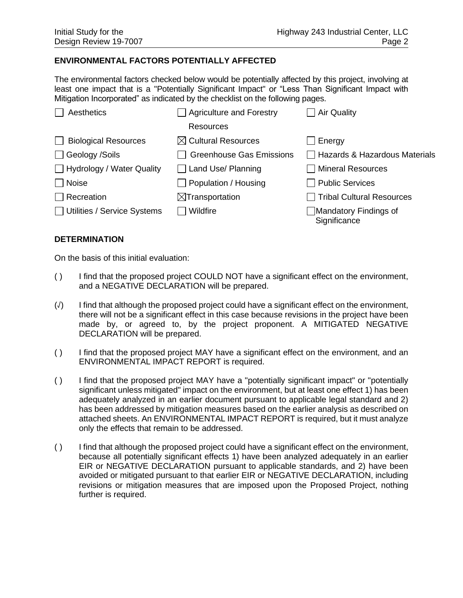#### **ENVIRONMENTAL FACTORS POTENTIALLY AFFECTED**

The environmental factors checked below would be potentially affected by this project, involving at least one impact that is a "Potentially Significant Impact" or "Less Than Significant Impact with Mitigation Incorporated" as indicated by the checklist on the following pages.

| Aesthetics                       | Agriculture and Forestry        | <b>Air Quality</b>                    |
|----------------------------------|---------------------------------|---------------------------------------|
|                                  | <b>Resources</b>                |                                       |
| <b>Biological Resources</b>      | $\boxtimes$ Cultural Resources  | Energy                                |
| □ Geology /Soils                 | <b>Greenhouse Gas Emissions</b> | □ Hazards & Hazardous Materials       |
| $\Box$ Hydrology / Water Quality | Land Use/ Planning              | <b>Mineral Resources</b>              |
| $\Box$ Noise                     | Population / Housing            | <b>Public Services</b>                |
| $\Box$ Recreation                | $\boxtimes$ Transportation      | <b>Tribal Cultural Resources</b>      |
| Utilities / Service Systems      | Wildfire                        | Mandatory Findings of<br>Significance |

#### **DETERMINATION**

On the basis of this initial evaluation:

- ( ) I find that the proposed project COULD NOT have a significant effect on the environment, and a NEGATIVE DECLARATION will be prepared.
- (√) I find that although the proposed project could have a significant effect on the environment, there will not be a significant effect in this case because revisions in the project have been made by, or agreed to, by the project proponent. A MITIGATED NEGATIVE DECLARATION will be prepared.
- ( ) I find that the proposed project MAY have a significant effect on the environment, and an ENVIRONMENTAL IMPACT REPORT is required.
- ( ) I find that the proposed project MAY have a "potentially significant impact" or "potentially significant unless mitigated" impact on the environment, but at least one effect 1) has been adequately analyzed in an earlier document pursuant to applicable legal standard and 2) has been addressed by mitigation measures based on the earlier analysis as described on attached sheets. An ENVIRONMENTAL IMPACT REPORT is required, but it must analyze only the effects that remain to be addressed.
- ( ) I find that although the proposed project could have a significant effect on the environment, because all potentially significant effects 1) have been analyzed adequately in an earlier EIR or NEGATIVE DECLARATION pursuant to applicable standards, and 2) have been avoided or mitigated pursuant to that earlier EIR or NEGATIVE DECLARATION, including revisions or mitigation measures that are imposed upon the Proposed Project, nothing further is required.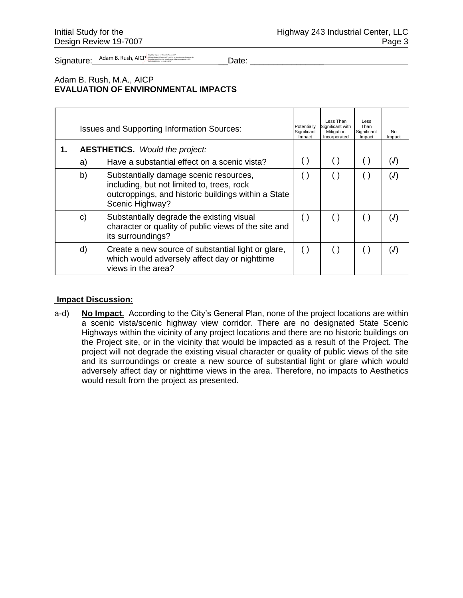Signature: Adam B. Rush, AICP and the contraction of the contraction of the contraction of the contraction of the contraction of the contraction of the contraction of the contraction of the contraction of the contraction o

#### Adam B. Rush, M.A., AICP **EVALUATION OF ENVIRONMENTAL IMPACTS**

| <b>Issues and Supporting Information Sources:</b> |                                                                                                                                                                |                        | Less Than<br>Significant with<br>Mitigation<br>Incorporated | Less<br>Than<br>Significant<br>Impact | No.<br>Impact |
|---------------------------------------------------|----------------------------------------------------------------------------------------------------------------------------------------------------------------|------------------------|-------------------------------------------------------------|---------------------------------------|---------------|
| a)                                                | <b>AESTHETICS.</b> Would the project:<br>Have a substantial effect on a scenic vista?                                                                          |                        |                                                             |                                       | (J)           |
| b)                                                | Substantially damage scenic resources,<br>including, but not limited to, trees, rock<br>outcroppings, and historic buildings within a State<br>Scenic Highway? |                        |                                                             |                                       | (J)           |
| C)                                                | Substantially degrade the existing visual<br>character or quality of public views of the site and<br>its surroundings?                                         | $\left( \quad \right)$ |                                                             |                                       | (J)           |
| d)                                                | Create a new source of substantial light or glare,<br>which would adversely affect day or nighttime<br>views in the area?                                      | $\left( \right)$       |                                                             | ()                                    | (J)           |

#### **Impact Discussion:**

a-d) **No Impact.** According to the City's General Plan, none of the project locations are within a scenic vista/scenic highway view corridor. There are no designated State Scenic Highways within the vicinity of any project locations and there are no historic buildings on the Project site, or in the vicinity that would be impacted as a result of the Project. The project will not degrade the existing visual character or quality of public views of the site and its surroundings or create a new source of substantial light or glare which would adversely affect day or nighttime views in the area. Therefore, no impacts to Aesthetics would result from the project as presented.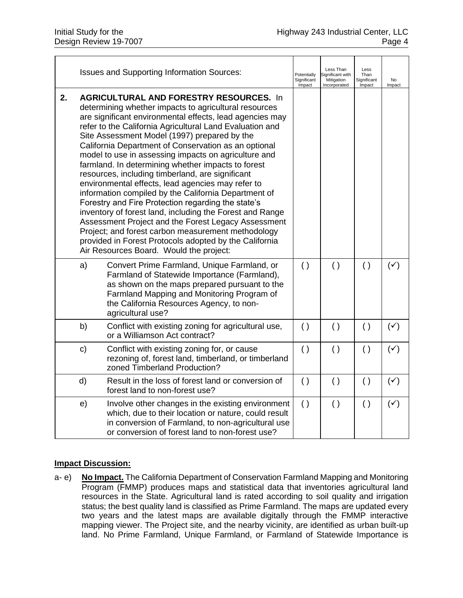|    |              | <b>Issues and Supporting Information Sources:</b>                                                                                                                                                                                                                                                                                                                                                                                                                                                                                                                                                                                                                                                                                                                                                                                                                                                                                                          | Potentially<br>Significant<br>Impact | Less Than<br>Significant with<br>Mitigation<br>Incorporated | Less<br>Than<br>Significant<br>Impact | <b>No</b><br>Impact |
|----|--------------|------------------------------------------------------------------------------------------------------------------------------------------------------------------------------------------------------------------------------------------------------------------------------------------------------------------------------------------------------------------------------------------------------------------------------------------------------------------------------------------------------------------------------------------------------------------------------------------------------------------------------------------------------------------------------------------------------------------------------------------------------------------------------------------------------------------------------------------------------------------------------------------------------------------------------------------------------------|--------------------------------------|-------------------------------------------------------------|---------------------------------------|---------------------|
| 2. |              | <b>AGRICULTURAL AND FORESTRY RESOURCES. In</b><br>determining whether impacts to agricultural resources<br>are significant environmental effects, lead agencies may<br>refer to the California Agricultural Land Evaluation and<br>Site Assessment Model (1997) prepared by the<br>California Department of Conservation as an optional<br>model to use in assessing impacts on agriculture and<br>farmland. In determining whether impacts to forest<br>resources, including timberland, are significant<br>environmental effects, lead agencies may refer to<br>information compiled by the California Department of<br>Forestry and Fire Protection regarding the state's<br>inventory of forest land, including the Forest and Range<br>Assessment Project and the Forest Legacy Assessment<br>Project; and forest carbon measurement methodology<br>provided in Forest Protocols adopted by the California<br>Air Resources Board. Would the project: |                                      |                                                             |                                       |                     |
|    | a)           | Convert Prime Farmland, Unique Farmland, or<br>Farmland of Statewide Importance (Farmland),<br>as shown on the maps prepared pursuant to the<br>Farmland Mapping and Monitoring Program of<br>the California Resources Agency, to non-<br>agricultural use?                                                                                                                                                                                                                                                                                                                                                                                                                                                                                                                                                                                                                                                                                                | ( )                                  | ( )                                                         | $\left( \ \right)$                    | $(\checkmark)$      |
|    | b)           | Conflict with existing zoning for agricultural use,<br>or a Williamson Act contract?                                                                                                                                                                                                                                                                                                                                                                                                                                                                                                                                                                                                                                                                                                                                                                                                                                                                       | $\left( \ \right)$                   | $\left( \ \right)$                                          | $\left( \ \right)$                    | $(\checkmark)$      |
|    | $\mathbf{C}$ | Conflict with existing zoning for, or cause<br>rezoning of, forest land, timberland, or timberland<br>zoned Timberland Production?                                                                                                                                                                                                                                                                                                                                                                                                                                                                                                                                                                                                                                                                                                                                                                                                                         | $\left( \ \right)$                   | $\left( \ \right)$                                          | $\left( \ \right)$                    | $(\checkmark)$      |
|    | d)           | Result in the loss of forest land or conversion of<br>forest land to non-forest use?                                                                                                                                                                                                                                                                                                                                                                                                                                                                                                                                                                                                                                                                                                                                                                                                                                                                       | $\left( \ \right)$                   | $\left( \ \right)$                                          | $\left( \ \right)$                    | $(\checkmark)$      |
|    | e)           | Involve other changes in the existing environment<br>which, due to their location or nature, could result<br>in conversion of Farmland, to non-agricultural use<br>or conversion of forest land to non-forest use?                                                                                                                                                                                                                                                                                                                                                                                                                                                                                                                                                                                                                                                                                                                                         | ( )                                  | $\left( \ \right)$                                          | $\left( \ \right)$                    | $(\checkmark)$      |

a- e) **No Impact.** The California Department of Conservation Farmland Mapping and Monitoring Program (FMMP) produces maps and statistical data that inventories agricultural land resources in the State. Agricultural land is rated according to soil quality and irrigation status; the best quality land is classified as Prime Farmland. The maps are updated every two years and the latest maps are available digitally through the FMMP interactive mapping viewer. The Project site, and the nearby vicinity, are identified as urban built-up land. No Prime Farmland, Unique Farmland, or Farmland of Statewide Importance is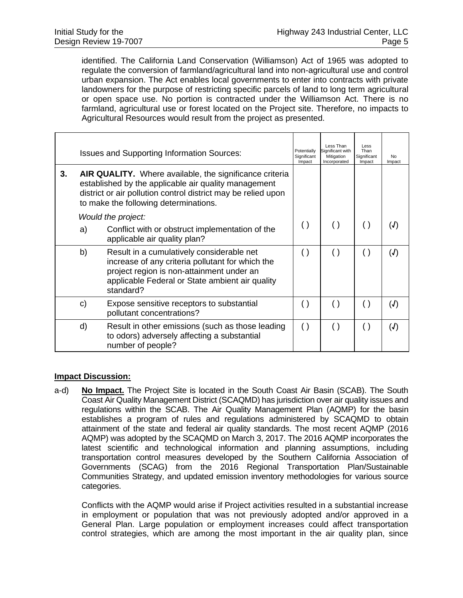identified. The California Land Conservation (Williamson) Act of 1965 was adopted to regulate the conversion of farmland/agricultural land into non-agricultural use and control urban expansion. The Act enables local governments to enter into contracts with private landowners for the purpose of restricting specific parcels of land to long term agricultural or open space use. No portion is contracted under the Williamson Act. There is no farmland, agricultural use or forest located on the Project site. Therefore, no impacts to Agricultural Resources would result from the project as presented.

|    | <b>Issues and Supporting Information Sources:</b>                                                                                                                                                                                |                                                                                                                                                                                                                                            | Potentially<br>Significant<br>Impact | Less Than<br>Significant with<br>Mitigation<br>Incorporated | Less<br>Than<br>Significant<br>Impact | No.<br>Impact |
|----|----------------------------------------------------------------------------------------------------------------------------------------------------------------------------------------------------------------------------------|--------------------------------------------------------------------------------------------------------------------------------------------------------------------------------------------------------------------------------------------|--------------------------------------|-------------------------------------------------------------|---------------------------------------|---------------|
| 3. | <b>AIR QUALITY.</b> Where available, the significance criteria<br>established by the applicable air quality management<br>district or air pollution control district may be relied upon<br>to make the following determinations. |                                                                                                                                                                                                                                            |                                      |                                                             |                                       |               |
|    | a)                                                                                                                                                                                                                               | Would the project:<br>Conflict with or obstruct implementation of the                                                                                                                                                                      | $\left( \ \right)$                   | $\left( \ \right)$                                          | $\left( \ \right)$                    | (J)           |
|    | b)                                                                                                                                                                                                                               | applicable air quality plan?<br>Result in a cumulatively considerable net<br>increase of any criteria pollutant for which the<br>project region is non-attainment under an<br>applicable Federal or State ambient air quality<br>standard? | $\left( \ \right)$                   | $\left( \ \right)$                                          | $\left( \ \right)$                    | (J)           |
|    | C)                                                                                                                                                                                                                               | Expose sensitive receptors to substantial<br>pollutant concentrations?                                                                                                                                                                     | $\left( \ \right)$                   | $\left( \ \right)$                                          | $\left( \ \right)$                    | (J)           |
|    | d)                                                                                                                                                                                                                               | Result in other emissions (such as those leading<br>to odors) adversely affecting a substantial<br>number of people?                                                                                                                       | $\left( \ \right)$                   | $\left( \ \right)$                                          | $\left( \ \right)$                    | (J)           |

#### **Impact Discussion:**

a-d) **No Impact.** The Project Site is located in the South Coast Air Basin (SCAB). The South Coast Air Quality Management District (SCAQMD) has jurisdiction over air quality issues and regulations within the SCAB. The Air Quality Management Plan (AQMP) for the basin establishes a program of rules and regulations administered by SCAQMD to obtain attainment of the state and federal air quality standards. The most recent AQMP (2016 AQMP) was adopted by the SCAQMD on March 3, 2017. The 2016 AQMP incorporates the latest scientific and technological information and planning assumptions, including transportation control measures developed by the Southern California Association of Governments (SCAG) from the 2016 Regional Transportation Plan/Sustainable Communities Strategy, and updated emission inventory methodologies for various source categories.

Conflicts with the AQMP would arise if Project activities resulted in a substantial increase in employment or population that was not previously adopted and/or approved in a General Plan. Large population or employment increases could affect transportation control strategies, which are among the most important in the air quality plan, since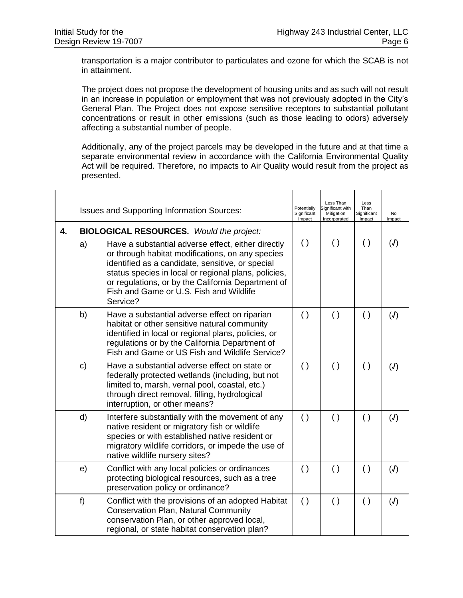transportation is a major contributor to particulates and ozone for which the SCAB is not in attainment.

The project does not propose the development of housing units and as such will not result in an increase in population or employment that was not previously adopted in the City's General Plan. The Project does not expose sensitive receptors to substantial pollutant concentrations or result in other emissions (such as those leading to odors) adversely affecting a substantial number of people.

Additionally, any of the project parcels may be developed in the future and at that time a separate environmental review in accordance with the California Environmental Quality Act will be required. Therefore, no impacts to Air Quality would result from the project as presented.

|    |       | <b>Issues and Supporting Information Sources:</b>                                                                                                                                                                                                                                                                                                                                  | Potentially<br>Significant<br>Impact | Less Than<br>Significant with<br>Mitigation<br>Incorporated | Less<br>Than<br>Significant<br>Impact | No<br>Impact |
|----|-------|------------------------------------------------------------------------------------------------------------------------------------------------------------------------------------------------------------------------------------------------------------------------------------------------------------------------------------------------------------------------------------|--------------------------------------|-------------------------------------------------------------|---------------------------------------|--------------|
| 4. | a)    | <b>BIOLOGICAL RESOURCES.</b> Would the project:<br>Have a substantial adverse effect, either directly<br>or through habitat modifications, on any species<br>identified as a candidate, sensitive, or special<br>status species in local or regional plans, policies,<br>or regulations, or by the California Department of<br>Fish and Game or U.S. Fish and Wildlife<br>Service? | $\left( \ \right)$                   | $\left( \ \right)$                                          | $\left( \ \right)$                    | (J)          |
|    | b)    | Have a substantial adverse effect on riparian<br>habitat or other sensitive natural community<br>identified in local or regional plans, policies, or<br>regulations or by the California Department of<br>Fish and Game or US Fish and Wildlife Service?                                                                                                                           | ( )                                  | $\left( \ \right)$                                          | $\left( \ \right)$                    | (J)          |
|    | c)    | Have a substantial adverse effect on state or<br>federally protected wetlands (including, but not<br>limited to, marsh, vernal pool, coastal, etc.)<br>through direct removal, filling, hydrological<br>interruption, or other means?                                                                                                                                              | $\left( \ \right)$                   | $\left( \ \right)$                                          | ( )                                   | (J)          |
|    | d)    | Interfere substantially with the movement of any<br>native resident or migratory fish or wildlife<br>species or with established native resident or<br>migratory wildlife corridors, or impede the use of<br>native wildlife nursery sites?                                                                                                                                        | $\left( \ \right)$                   | $\left( \ \right)$                                          | $\left( \ \right)$                    | (J)          |
|    | e)    | Conflict with any local policies or ordinances<br>protecting biological resources, such as a tree<br>preservation policy or ordinance?                                                                                                                                                                                                                                             | $\left( \ \right)$                   | $\left( \ \right)$                                          | ( )                                   | (J)          |
|    | $f$ ) | Conflict with the provisions of an adopted Habitat<br><b>Conservation Plan, Natural Community</b><br>conservation Plan, or other approved local,<br>regional, or state habitat conservation plan?                                                                                                                                                                                  | $\left( \ \right)$                   | $\left( \ \right)$                                          | $\left( \ \right)$                    | (J)          |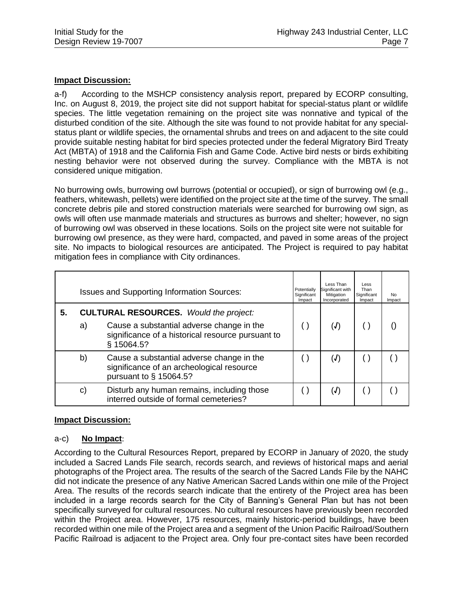a-f) According to the MSHCP consistency analysis report, prepared by ECORP consulting, Inc. on August 8, 2019, the project site did not support habitat for special-status plant or wildlife species. The little vegetation remaining on the project site was nonnative and typical of the disturbed condition of the site. Although the site was found to not provide habitat for any specialstatus plant or wildlife species, the ornamental shrubs and trees on and adjacent to the site could provide suitable nesting habitat for bird species protected under the federal Migratory Bird Treaty Act (MBTA) of 1918 and the California Fish and Game Code. Active bird nests or birds exhibiting nesting behavior were not observed during the survey. Compliance with the MBTA is not considered unique mitigation.

No burrowing owls, burrowing owl burrows (potential or occupied), or sign of burrowing owl (e.g., feathers, whitewash, pellets) were identified on the project site at the time of the survey. The small concrete debris pile and stored construction materials were searched for burrowing owl sign, as owls will often use manmade materials and structures as burrows and shelter; however, no sign of burrowing owl was observed in these locations. Soils on the project site were not suitable for burrowing owl presence, as they were hard, compacted, and paved in some areas of the project site. No impacts to biological resources are anticipated. The Project is required to pay habitat mitigation fees in compliance with City ordinances.

|    |    | <b>Issues and Supporting Information Sources:</b>                                                                                                             | Potentially<br>Significant<br>Impact | Less Than<br>Significant with<br>Mitigation<br>Incorporated | Less<br>Than<br>Significant<br>Impact | No.<br>Impact |
|----|----|---------------------------------------------------------------------------------------------------------------------------------------------------------------|--------------------------------------|-------------------------------------------------------------|---------------------------------------|---------------|
| 5. | a) | <b>CULTURAL RESOURCES.</b> Would the project:<br>Cause a substantial adverse change in the<br>significance of a historical resource pursuant to<br>§ 15064.5? |                                      | (J)                                                         |                                       |               |
|    | b) | Cause a substantial adverse change in the<br>significance of an archeological resource<br>pursuant to § 15064.5?                                              |                                      | (J)                                                         |                                       |               |
|    | C) | Disturb any human remains, including those<br>interred outside of formal cemeteries?                                                                          |                                      | (J)                                                         |                                       |               |

#### **Impact Discussion:**

#### a-c) **No Impact**:

According to the Cultural Resources Report, prepared by ECORP in January of 2020, the study included a Sacred Lands File search, records search, and reviews of historical maps and aerial photographs of the Project area. The results of the search of the Sacred Lands File by the NAHC did not indicate the presence of any Native American Sacred Lands within one mile of the Project Area. The results of the records search indicate that the entirety of the Project area has been included in a large records search for the City of Banning's General Plan but has not been specifically surveyed for cultural resources. No cultural resources have previously been recorded within the Project area. However, 175 resources, mainly historic-period buildings, have been recorded within one mile of the Project area and a segment of the Union Pacific Railroad/Southern Pacific Railroad is adjacent to the Project area. Only four pre-contact sites have been recorded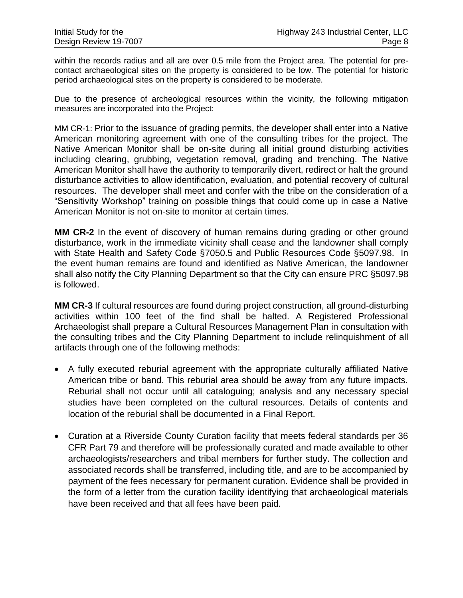within the records radius and all are over 0.5 mile from the Project area. The potential for precontact archaeological sites on the property is considered to be low. The potential for historic period archaeological sites on the property is considered to be moderate.

Due to the presence of archeological resources within the vicinity, the following mitigation measures are incorporated into the Project:

MM CR-1: Prior to the issuance of grading permits, the developer shall enter into a Native American monitoring agreement with one of the consulting tribes for the project. The Native American Monitor shall be on-site during all initial ground disturbing activities including clearing, grubbing, vegetation removal, grading and trenching. The Native American Monitor shall have the authority to temporarily divert, redirect or halt the ground disturbance activities to allow identification, evaluation, and potential recovery of cultural resources. The developer shall meet and confer with the tribe on the consideration of a "Sensitivity Workshop" training on possible things that could come up in case a Native American Monitor is not on-site to monitor at certain times.

**MM CR-2** In the event of discovery of human remains during grading or other ground disturbance, work in the immediate vicinity shall cease and the landowner shall comply with State Health and Safety Code §7050.5 and Public Resources Code §5097.98. In the event human remains are found and identified as Native American, the landowner shall also notify the City Planning Department so that the City can ensure PRC §5097.98 is followed.

**MM CR-3** If cultural resources are found during project construction, all ground-disturbing activities within 100 feet of the find shall be halted. A Registered Professional Archaeologist shall prepare a Cultural Resources Management Plan in consultation with the consulting tribes and the City Planning Department to include relinquishment of all artifacts through one of the following methods:

- A fully executed reburial agreement with the appropriate culturally affiliated Native American tribe or band. This reburial area should be away from any future impacts. Reburial shall not occur until all cataloguing; analysis and any necessary special studies have been completed on the cultural resources. Details of contents and location of the reburial shall be documented in a Final Report.
- Curation at a Riverside County Curation facility that meets federal standards per 36 CFR Part 79 and therefore will be professionally curated and made available to other archaeologists/researchers and tribal members for further study. The collection and associated records shall be transferred, including title, and are to be accompanied by payment of the fees necessary for permanent curation. Evidence shall be provided in the form of a letter from the curation facility identifying that archaeological materials have been received and that all fees have been paid.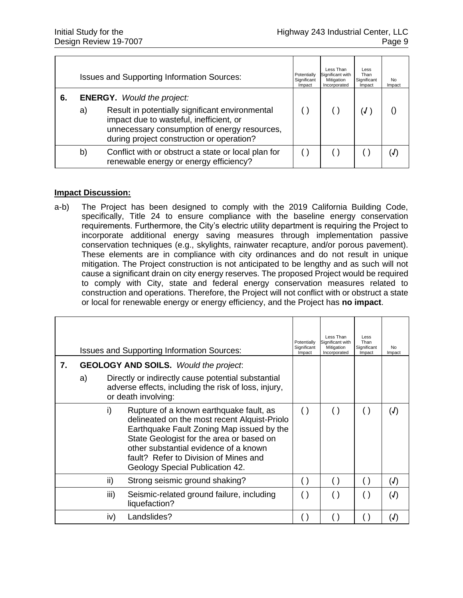|    |    | <b>Issues and Supporting Information Sources:</b>                                                                                                                                       | Potentially<br>Significant<br>Impact | Less Than<br>Significant with<br>Mitigation<br>Incorporated | Less<br>Than<br>Significant<br>Impact | No<br>Impact |
|----|----|-----------------------------------------------------------------------------------------------------------------------------------------------------------------------------------------|--------------------------------------|-------------------------------------------------------------|---------------------------------------|--------------|
| 6. |    | <b>ENERGY.</b> Would the project:                                                                                                                                                       |                                      |                                                             |                                       |              |
|    | a) | Result in potentially significant environmental<br>impact due to wasteful, inefficient, or<br>unnecessary consumption of energy resources,<br>during project construction or operation? |                                      |                                                             |                                       |              |
|    | b) | Conflict with or obstruct a state or local plan for<br>renewable energy or energy efficiency?                                                                                           |                                      |                                                             |                                       |              |

a-b) The Project has been designed to comply with the 2019 California Building Code, specifically, Title 24 to ensure compliance with the baseline energy conservation requirements. Furthermore, the City's electric utility department is requiring the Project to incorporate additional energy saving measures through implementation passive conservation techniques (e.g., skylights, rainwater recapture, and/or porous pavement). These elements are in compliance with city ordinances and do not result in unique mitigation. The Project construction is not anticipated to be lengthy and as such will not cause a significant drain on city energy reserves. The proposed Project would be required to comply with City, state and federal energy conservation measures related to construction and operations. Therefore, the Project will not conflict with or obstruct a state or local for renewable energy or energy efficiency, and the Project has **no impact**.

|    |                                                                                                                                         |      | <b>Issues and Supporting Information Sources:</b>                                                                                                                                                                                                                                                     | Potentially<br>Significant<br>Impact | Less Than<br>Significant with<br>Mitigation<br>Incorporated | Less<br>Than<br>Significant<br>Impact | No<br>Impact |
|----|-----------------------------------------------------------------------------------------------------------------------------------------|------|-------------------------------------------------------------------------------------------------------------------------------------------------------------------------------------------------------------------------------------------------------------------------------------------------------|--------------------------------------|-------------------------------------------------------------|---------------------------------------|--------------|
| 7. |                                                                                                                                         |      | <b>GEOLOGY AND SOILS.</b> Would the project.                                                                                                                                                                                                                                                          |                                      |                                                             |                                       |              |
|    | Directly or indirectly cause potential substantial<br>a)<br>adverse effects, including the risk of loss, injury,<br>or death involving: |      |                                                                                                                                                                                                                                                                                                       |                                      |                                                             |                                       |              |
|    |                                                                                                                                         | i)   | Rupture of a known earthquake fault, as<br>delineated on the most recent Alquist-Priolo<br>Earthquake Fault Zoning Map issued by the<br>State Geologist for the area or based on<br>other substantial evidence of a known<br>fault? Refer to Division of Mines and<br>Geology Special Publication 42. | $\left( \ \right)$                   | $\left( \ \right)$                                          | ( )                                   | (J)          |
|    |                                                                                                                                         | ii)  | Strong seismic ground shaking?                                                                                                                                                                                                                                                                        | ( )                                  | ( )                                                         | ( )                                   | (J)          |
|    |                                                                                                                                         | iii) | Seismic-related ground failure, including<br>liquefaction?                                                                                                                                                                                                                                            |                                      |                                                             | ( )                                   | (J)          |
|    |                                                                                                                                         | iv)  | Landslides?                                                                                                                                                                                                                                                                                           |                                      |                                                             |                                       | (J)          |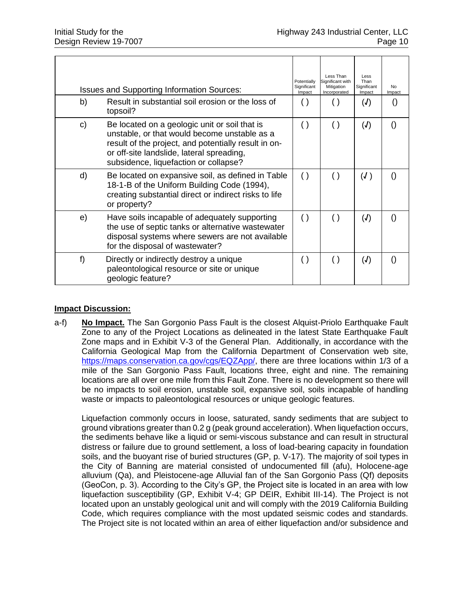| b) | <b>Issues and Supporting Information Sources:</b><br>Result in substantial soil erosion or the loss of<br>topsoil?                                                                                                                          | Potentially<br>Significant<br>Impact | Less Than<br>Significant with<br>Mitigation<br>Incorporated | Less<br>Than<br>Significant<br>Impact<br>(J) | No.<br>Impact    |
|----|---------------------------------------------------------------------------------------------------------------------------------------------------------------------------------------------------------------------------------------------|--------------------------------------|-------------------------------------------------------------|----------------------------------------------|------------------|
| C) | Be located on a geologic unit or soil that is<br>unstable, or that would become unstable as a<br>result of the project, and potentially result in on-<br>or off-site landslide, lateral spreading,<br>subsidence, liquefaction or collapse? | $\left( \ \right)$                   | $\left( \ \right)$                                          | (J)                                          | $\left( \right)$ |
| d) | Be located on expansive soil, as defined in Table<br>18-1-B of the Uniform Building Code (1994),<br>creating substantial direct or indirect risks to life<br>or property?                                                                   | ( )                                  | ( )                                                         | (J)                                          |                  |
| e) | Have soils incapable of adequately supporting<br>the use of septic tanks or alternative wastewater<br>disposal systems where sewers are not available<br>for the disposal of wastewater?                                                    | ( )                                  | $\left( \ \right)$                                          | (J)                                          | $\left( \right)$ |
| f) | Directly or indirectly destroy a unique<br>paleontological resource or site or unique<br>geologic feature?                                                                                                                                  | $\left( \ \right)$                   | $\left( \ \right)$                                          | (J)                                          | $\left( \right)$ |

a-f) **No Impact.** The San Gorgonio Pass Fault is the closest Alquist-Priolo Earthquake Fault Zone to any of the Project Locations as delineated in the latest State Earthquake Fault Zone maps and in Exhibit V-3 of the General Plan. Additionally, in accordance with the California Geological Map from the California Department of Conservation web site, [https://maps.conservation.ca.gov/cgs/EQZApp/,](https://maps.conservation.ca.gov/cgs/EQZApp/) there are three locations within 1/3 of a mile of the San Gorgonio Pass Fault, locations three, eight and nine. The remaining locations are all over one mile from this Fault Zone. There is no development so there will be no impacts to soil erosion, unstable soil, expansive soil, soils incapable of handling waste or impacts to paleontological resources or unique geologic features.

Liquefaction commonly occurs in loose, saturated, sandy sediments that are subject to ground vibrations greater than 0.2 g (peak ground acceleration). When liquefaction occurs, the sediments behave like a liquid or semi-viscous substance and can result in structural distress or failure due to ground settlement, a loss of load-bearing capacity in foundation soils, and the buoyant rise of buried structures (GP, p. V-17). The majority of soil types in the City of Banning are material consisted of undocumented fill (afu), Holocene-age alluvium (Qa), and Pleistocene-age Alluvial fan of the San Gorgonio Pass (Qf) deposits (GeoCon, p. 3). According to the City's GP, the Project site is located in an area with low liquefaction susceptibility (GP, Exhibit V-4; GP DEIR, Exhibit III-14). The Project is not located upon an unstably geological unit and will comply with the 2019 California Building Code, which requires compliance with the most updated seismic codes and standards. The Project site is not located within an area of either liquefaction and/or subsidence and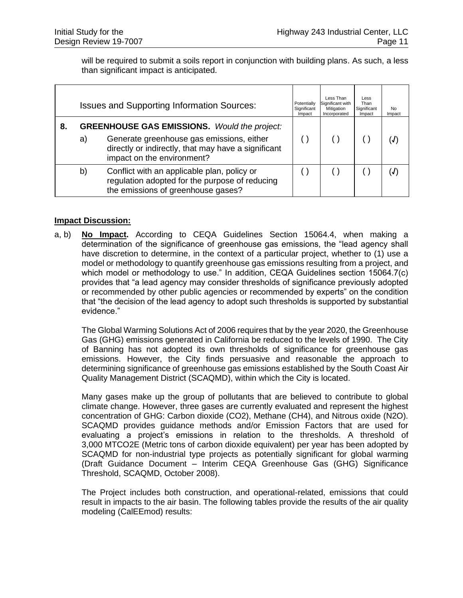will be required to submit a soils report in conjunction with building plans. As such, a less than significant impact is anticipated.

|    |    | <b>Issues and Supporting Information Sources:</b>                                                                                                                                     | Potentially<br>Significant<br>Impact | Less Than<br>Significant with<br>Mitigation<br>Incorporated | Less<br>Than<br>Significant<br>Impact | No.<br>Impact |
|----|----|---------------------------------------------------------------------------------------------------------------------------------------------------------------------------------------|--------------------------------------|-------------------------------------------------------------|---------------------------------------|---------------|
| 8. | a) | <b>GREENHOUSE GAS EMISSIONS.</b> Would the project:<br>Generate greenhouse gas emissions, either<br>directly or indirectly, that may have a significant<br>impact on the environment? |                                      |                                                             |                                       |               |
|    | b) | Conflict with an applicable plan, policy or<br>regulation adopted for the purpose of reducing<br>the emissions of greenhouse gases?                                                   |                                      |                                                             |                                       |               |

#### **Impact Discussion:**

a, b) **No Impact.** According to CEQA Guidelines Section 15064.4, when making a determination of the significance of greenhouse gas emissions, the "lead agency shall have discretion to determine, in the context of a particular project, whether to (1) use a model or methodology to quantify greenhouse gas emissions resulting from a project, and which model or methodology to use." In addition, CEQA Guidelines section 15064.7(c) provides that "a lead agency may consider thresholds of significance previously adopted or recommended by other public agencies or recommended by experts" on the condition that "the decision of the lead agency to adopt such thresholds is supported by substantial evidence."

The Global Warming Solutions Act of 2006 requires that by the year 2020, the Greenhouse Gas (GHG) emissions generated in California be reduced to the levels of 1990. The City of Banning has not adopted its own thresholds of significance for greenhouse gas emissions. However, the City finds persuasive and reasonable the approach to determining significance of greenhouse gas emissions established by the South Coast Air Quality Management District (SCAQMD), within which the City is located.

Many gases make up the group of pollutants that are believed to contribute to global climate change. However, three gases are currently evaluated and represent the highest concentration of GHG: Carbon dioxide (CO2), Methane (CH4), and Nitrous oxide (N2O). SCAQMD provides guidance methods and/or Emission Factors that are used for evaluating a project's emissions in relation to the thresholds. A threshold of 3,000 MTCO2E (Metric tons of carbon dioxide equivalent) per year has been adopted by SCAQMD for non-industrial type projects as potentially significant for global warming (Draft Guidance Document – Interim CEQA Greenhouse Gas (GHG) Significance Threshold, SCAQMD, October 2008).

The Project includes both construction, and operational-related, emissions that could result in impacts to the air basin. The following tables provide the results of the air quality modeling (CalEEmod) results: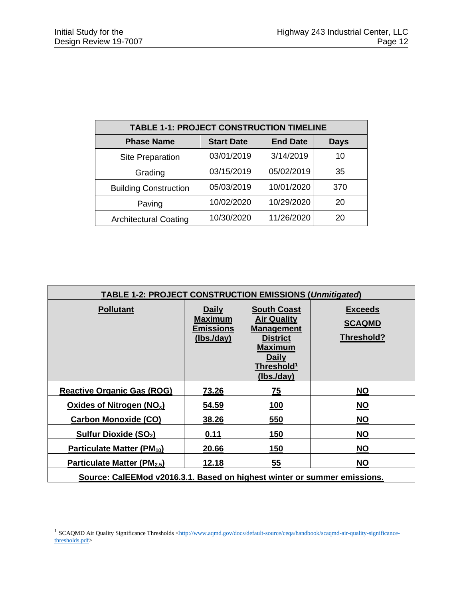| <b>TABLE 1-1: PROJECT CONSTRUCTION TIMELINE</b> |                   |                 |             |  |  |  |  |  |
|-------------------------------------------------|-------------------|-----------------|-------------|--|--|--|--|--|
| <b>Phase Name</b>                               | <b>Start Date</b> | <b>End Date</b> | <b>Days</b> |  |  |  |  |  |
| <b>Site Preparation</b>                         | 03/01/2019        | 3/14/2019       | 10          |  |  |  |  |  |
| Grading                                         | 03/15/2019        | 05/02/2019      | 35          |  |  |  |  |  |
| <b>Building Construction</b>                    | 05/03/2019        | 10/01/2020      | 370         |  |  |  |  |  |
| Paving                                          | 10/02/2020        | 10/29/2020      | 20          |  |  |  |  |  |
| <b>Architectural Coating</b>                    | 10/30/2020        | 11/26/2020      | 20          |  |  |  |  |  |

| <b>TABLE 1-2: PROJECT CONSTRUCTION EMISSIONS (Unmitigated)</b>           |                                                                 |                                                                                                                                                    |                                               |  |  |  |  |
|--------------------------------------------------------------------------|-----------------------------------------------------------------|----------------------------------------------------------------------------------------------------------------------------------------------------|-----------------------------------------------|--|--|--|--|
| <b>Pollutant</b>                                                         | <b>Daily</b><br><b>Maximum</b><br><b>Emissions</b><br>(lbs/day) | <b>South Coast</b><br><b>Air Quality</b><br>Management<br><b>District</b><br><b>Maximum</b><br><b>Daily</b><br>Threshold <sup>1</sup><br>(lbs/day) | <b>Exceeds</b><br><b>SCAQMD</b><br>Threshold? |  |  |  |  |
| <b>Reactive Organic Gas (ROG)</b>                                        | 73.26                                                           | 75                                                                                                                                                 | <b>NO</b>                                     |  |  |  |  |
| Oxides of Nitrogen $(NO_x)$                                              | 54.59                                                           | 100                                                                                                                                                | <b>NO</b>                                     |  |  |  |  |
| <b>Carbon Monoxide (CO)</b>                                              | 38.26                                                           | 550                                                                                                                                                | <b>NO</b>                                     |  |  |  |  |
| Sulfur Dioxide (SO <sub>2</sub> )                                        | 0.11                                                            | 150                                                                                                                                                | <b>NO</b>                                     |  |  |  |  |
| Particulate Matter (PM <sub>10</sub> )                                   | 20.66                                                           | 150                                                                                                                                                | <b>NO</b>                                     |  |  |  |  |
| Particulate Matter (PM <sub>2.5</sub> )                                  | 12.18                                                           | 55                                                                                                                                                 | <b>NO</b>                                     |  |  |  |  |
| Source: CalEEMod v2016.3.1. Based on highest winter or summer emissions. |                                                                 |                                                                                                                                                    |                                               |  |  |  |  |

<sup>&</sup>lt;sup>1</sup> SCAQMD Air Quality Significance Thresholds [<http://www.aqmd.gov/docs/default-source/ceqa/handbook/scaqmd-air-quality-significance](http://www.aqmd.gov/docs/default-source/ceqa/handbook/scaqmd-air-quality-significance-thresholds.pdf)[thresholds.pdf>](http://www.aqmd.gov/docs/default-source/ceqa/handbook/scaqmd-air-quality-significance-thresholds.pdf)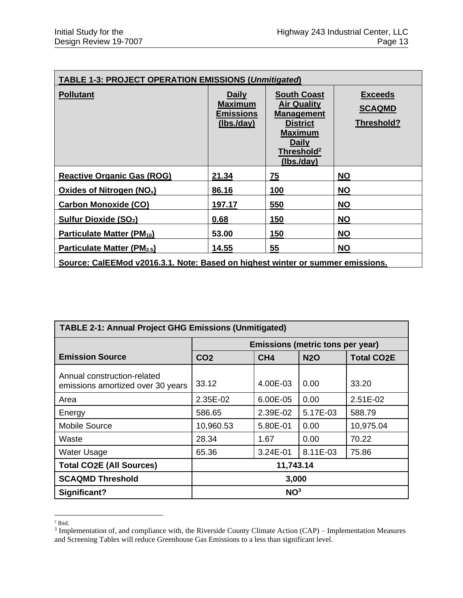| <b>TABLE 1-3: PROJECT OPERATION EMISSIONS (Unmitigated)</b>                    |                                                                 |                                                                                                                                                           |                                               |  |  |  |  |  |
|--------------------------------------------------------------------------------|-----------------------------------------------------------------|-----------------------------------------------------------------------------------------------------------------------------------------------------------|-----------------------------------------------|--|--|--|--|--|
| <b>Pollutant</b>                                                               | <b>Daily</b><br><b>Maximum</b><br><u>Emissions</u><br>(lbs/day) | <b>South Coast</b><br><b>Air Quality</b><br><b>Management</b><br><b>District</b><br><b>Maximum</b><br><b>Daily</b><br>Threshold <sup>2</sup><br>(lbs/day) | <b>Exceeds</b><br><b>SCAQMD</b><br>Threshold? |  |  |  |  |  |
| <b>Reactive Organic Gas (ROG)</b>                                              | 21.34                                                           | 75                                                                                                                                                        | <b>NO</b>                                     |  |  |  |  |  |
| Oxides of Nitrogen $(NO_x)$                                                    | 86.16                                                           | 100                                                                                                                                                       | <b>NO</b>                                     |  |  |  |  |  |
| <b>Carbon Monoxide (CO)</b>                                                    | 197.17                                                          | 550                                                                                                                                                       | <b>NO</b>                                     |  |  |  |  |  |
| Sulfur Dioxide (SO <sub>2</sub> )                                              | 0.68                                                            | 150                                                                                                                                                       | <b>NO</b>                                     |  |  |  |  |  |
| Particulate Matter (PM <sub>10</sub> )                                         | 53.00                                                           | 150                                                                                                                                                       | <b>NO</b>                                     |  |  |  |  |  |
| Particulate Matter (PM <sub>2.5</sub> )                                        | 14.55                                                           | 55                                                                                                                                                        | <b>NO</b>                                     |  |  |  |  |  |
| Source: CalEEMod v2016.3.1. Note: Based on highest winter or summer emissions. |                                                                 |                                                                                                                                                           |                                               |  |  |  |  |  |

| <b>TABLE 2-1: Annual Project GHG Emissions (Unmitigated)</b>     |                                  |                 |            |                   |  |  |
|------------------------------------------------------------------|----------------------------------|-----------------|------------|-------------------|--|--|
|                                                                  | Emissions (metric tons per year) |                 |            |                   |  |  |
| <b>Emission Source</b>                                           | CO <sub>2</sub>                  | CH <sub>4</sub> | <b>N2O</b> | <b>Total CO2E</b> |  |  |
| Annual construction-related<br>emissions amortized over 30 years | 33.12                            | 4.00E-03        | 0.00       | 33.20             |  |  |
| Area                                                             | 2.35E-02                         | 6.00E-05        | 0.00       | 2.51E-02          |  |  |
| Energy                                                           | 586.65                           | 2.39E-02        | 5.17E-03   | 588.79            |  |  |
| <b>Mobile Source</b>                                             | 10,960.53                        | 5.80E-01        | 0.00       | 10,975.04         |  |  |
| Waste                                                            | 28.34                            | 1.67            | 0.00       | 70.22             |  |  |
| <b>Water Usage</b>                                               | 65.36                            | 3.24E-01        | 8.11E-03   | 75.86             |  |  |
| <b>Total CO2E (All Sources)</b>                                  | 11,743.14                        |                 |            |                   |  |  |
| <b>SCAQMD Threshold</b>                                          | 3,000                            |                 |            |                   |  |  |
| Significant?                                                     | NO <sup>3</sup>                  |                 |            |                   |  |  |

 $<sup>2</sup>$  Ibid.</sup>

<sup>&</sup>lt;sup>3</sup> Implementation of, and compliance with, the Riverside County Climate Action (CAP) – Implementation Measures and Screening Tables will reduce Greenhouse Gas Emissions to a less than significant level.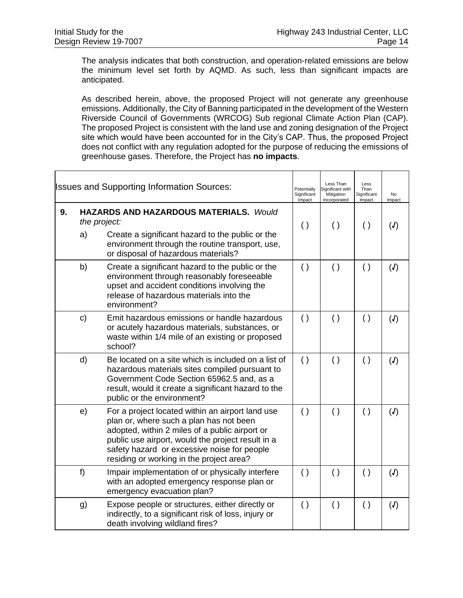Г

 $\overline{\phantom{a}}$ 

The analysis indicates that both construction, and operation-related emissions are below the minimum level set forth by AQMD. As such, less than significant impacts are anticipated.

As described herein, above, the proposed Project will not generate any greenhouse emissions. Additionally, the City of Banning participated in the development of the Western Riverside Council of Governments (WRCOG) Sub regional Climate Action Plan (CAP). The proposed Project is consistent with the land use and zoning designation of the Project site which would have been accounted for in the City's CAP. Thus, the proposed Project does not conflict with any regulation adopted for the purpose of reducing the emissions of greenhouse gases. Therefore, the Project has **no impacts**.

|    |                    | <b>Issues and Supporting Information Sources:</b>                                                                                                                                                                                                                                             | Potentially<br>Significant<br>Impact | Less Than<br>Significant with<br>Mitigation<br>Incorporated | Less<br>Than<br>Significant<br>Impact | <b>No</b><br>Impact        |
|----|--------------------|-----------------------------------------------------------------------------------------------------------------------------------------------------------------------------------------------------------------------------------------------------------------------------------------------|--------------------------------------|-------------------------------------------------------------|---------------------------------------|----------------------------|
| 9. | the project:<br>a) | <b>HAZARDS AND HAZARDOUS MATERIALS. Would</b><br>Create a significant hazard to the public or the<br>environment through the routine transport, use,<br>or disposal of hazardous materials?                                                                                                   | $\left( \ \right)$                   | $\left( \ \right)$                                          | $\left( \ \right)$                    | (J)                        |
|    | b)                 | Create a significant hazard to the public or the<br>environment through reasonably foreseeable<br>upset and accident conditions involving the<br>release of hazardous materials into the<br>environment?                                                                                      | $\left( \ \right)$                   | $\left( \ \right)$                                          | $\left( \ \right)$                    | $\mathcal{J}$              |
|    | $\mathbf{c})$      | Emit hazardous emissions or handle hazardous<br>or acutely hazardous materials, substances, or<br>waste within 1/4 mile of an existing or proposed<br>school?                                                                                                                                 | $\left( \ \right)$                   | $\left( \ \right)$                                          | $\left( \ \right)$                    | (J)                        |
|    | d)                 | Be located on a site which is included on a list of<br>hazardous materials sites compiled pursuant to<br>Government Code Section 65962.5 and, as a<br>result, would it create a significant hazard to the<br>public or the environment?                                                       | $\left( \ \right)$                   | $\left( \ \right)$                                          | $\left( \ \right)$                    | (J)                        |
|    | e)                 | For a project located within an airport land use<br>plan or, where such a plan has not been<br>adopted, within 2 miles of a public airport or<br>public use airport, would the project result in a<br>safety hazard or excessive noise for people<br>residing or working in the project area? | ( )                                  | ( )                                                         | $\left( \ \right)$                    | (J)                        |
|    | f)                 | Impair implementation of or physically interfere<br>with an adopted emergency response plan or<br>emergency evacuation plan?                                                                                                                                                                  | $\left( \ \right)$                   | $\left( \ \right)$                                          | ( )                                   | (J)                        |
|    | g)                 | Expose people or structures, either directly or<br>indirectly, to a significant risk of loss, injury or<br>death involving wildland fires?                                                                                                                                                    | $\left( \ \right)$                   | $\left( \ \right)$                                          | $\left( \ \right)$                    | $\mathcal{L}(\mathcal{J})$ |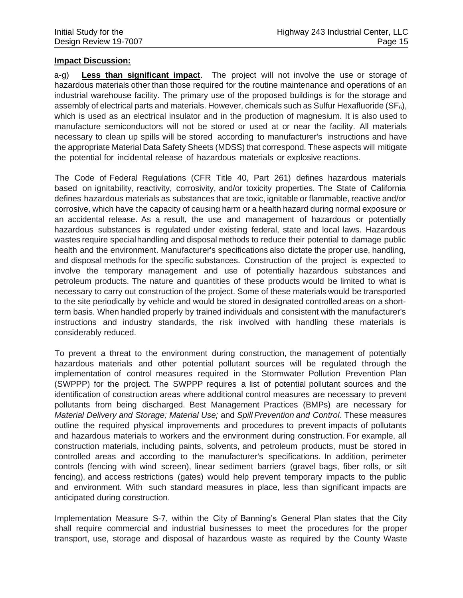a-g) **Less than significant impact**.The project will not involve the use or storage of hazardous materials other than those required for the routine maintenance and operations of an industrial warehouse facility. The primary use of the proposed buildings is for the storage and assembly of electrical parts and materials. However, chemicals such as Sulfur Hexafluoride ( $SF<sub>6</sub>$ ), which is used as an electrical insulator and in the production of magnesium. It is also used to manufacture semiconductors will not be stored or used at or near the facility. All materials necessary to clean up spills will be stored according to manufacturer's instructions and have the appropriate Material Data Safety Sheets (MDSS) that correspond. These aspects will mitigate the potential for incidental release of hazardous materials or explosive reactions.

The Code of Federal Regulations (CFR Title 40, Part 261) defines hazardous materials based on ignitability, reactivity, corrosivity, and/or toxicity properties. The State of California defines hazardous materials as substances that are toxic, ignitable or flammable, reactive and/or corrosive, which have the capacity of causing harm or a health hazard during normal exposure or an accidental release. As a result, the use and management of hazardous or potentially hazardous substances is regulated under existing federal, state and local laws. Hazardous wastes require specialhandling and disposal methods to reduce their potential to damage public health and the environment. Manufacturer's specifications also dictate the proper use, handling, and disposal methods for the specific substances. Construction of the project is expected to involve the temporary management and use of potentially hazardous substances and petroleum products. The nature and quantities of these products would be limited to what is necessary to carry out construction of the project. Some of these materials would be transported to the site periodically by vehicle and would be stored in designated controlled areas on a shortterm basis. When handled properly by trained individuals and consistent with the manufacturer's instructions and industry standards, the risk involved with handling these materials is considerably reduced.

To prevent a threat to the environment during construction, the management of potentially hazardous materials and other potential pollutant sources will be regulated through the implementation of control measures required in the Stormwater Pollution Prevention Plan (SWPPP) for the project. The SWPPP requires a list of potential pollutant sources and the identification of construction areas where additional control measures are necessary to prevent pollutants from being discharged. Best Management Practices (BMPs) are necessary for *Material Delivery and Storage; Material Use;* and *Spill Prevention and Control.* These measures outline the required physical improvements and procedures to prevent impacts of pollutants and hazardous materials to workers and the environment during construction. For example, all construction materials, including paints, solvents, and petroleum products, must be stored in controlled areas and according to the manufacturer's specifications. In addition, perimeter controls (fencing with wind screen), linear sediment barriers (gravel bags, fiber rolls, or silt fencing), and access restrictions (gates) would help prevent temporary impacts to the public and environment. With such standard measures in place, less than significant impacts are anticipated during construction.

Implementation Measure S-7, within the City of Banning's General Plan states that the City shall require commercial and industrial businesses to meet the procedures for the proper transport, use, storage and disposal of hazardous waste as required by the County Waste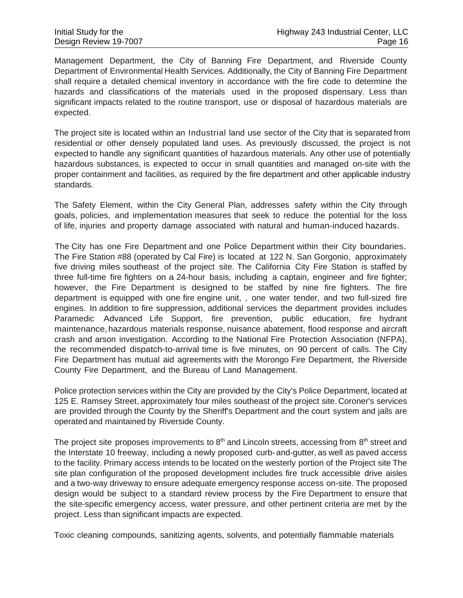Management Department, the City of Banning Fire Department, and Riverside County Department of Environmental Health Services. Additionally, the City of Banning Fire Department shall require a detailed chemical inventory in accordance with the fire code to determine the hazards and classifications of the materials used in the proposed dispensary. Less than significant impacts related to the routine transport, use or disposal of hazardous materials are expected.

The project site is located within an Industrial land use sector of the City that is separated from residential or other densely populated land uses. As previously discussed, the project is not expected to handle any significant quantities of hazardous materials. Any other use of potentially hazardous· substances, is expected to occur in small quantities and managed on-site with the proper containment and facilities, as required by the fire department and other applicable industry standards.

The Safety Element, within the City General Plan, addresses safety within the City through goals, policies, and implementation measures that seek to reduce the potential for the loss of life, injuries and property damage associated with natural and human-induced hazards.

The City has one Fire Department and one Police Department within their City boundaries. The Fire Station #88 (operated by Cal Fire) is located at 122 N. San Gorgonio, approximately five driving miles southeast of the project site. The California City Fire Station is staffed by three full-time fire fighters on a 24-hour basis, including a captain, engineer and fire fighter; however, the Fire Department is designed to be staffed by nine fire fighters. The fire department is equipped with one fire engine unit, , one water tender, and two full-sized fire engines. In addition to fire suppression, additional services the department provides includes Paramedic Advanced Life Support, fire prevention, public education, fire hydrant maintenance, hazardous materials response, nuisance abatement, flood response and aircraft crash and arson investigation. According to the National Fire Protection Association (NFPA}, the recommended dispatch-to-arrival time is five minutes, on 90 percent of calls. The City Fire Department has mutual aid agreements with the Morongo Fire Department, the Riverside County Fire Department, and the Bureau of Land Management.

Police protection services within the City are provided by the City's Police Department, located at 125 E. Ramsey Street, approximately four miles southeast of the project site. Coroner's services are provided through the County by the Sheriff's Department and the court system and jails are operated and maintained by Riverside County.

The project site proposes improvements to  $8<sup>th</sup>$  and Lincoln streets, accessing from  $8<sup>th</sup>$  street and the Interstate 10 freeway, including a newly proposed curb-and-gutter, as well as paved access to the facility. Primary access intends to be located on the westerly portion of the Project site The site plan configuration of the proposed development includes fire truck accessible drive aisles and a two-way driveway to ensure adequate emergency response access on-site. The proposed design would be subject to a standard review process by the Fire Department to ensure that the site-specific emergency access, water pressure, and other pertinent criteria are met by the project. Less than significant impacts are expected.

Toxic cleaning compounds, sanitizing agents, solvents, and potentially flammable materials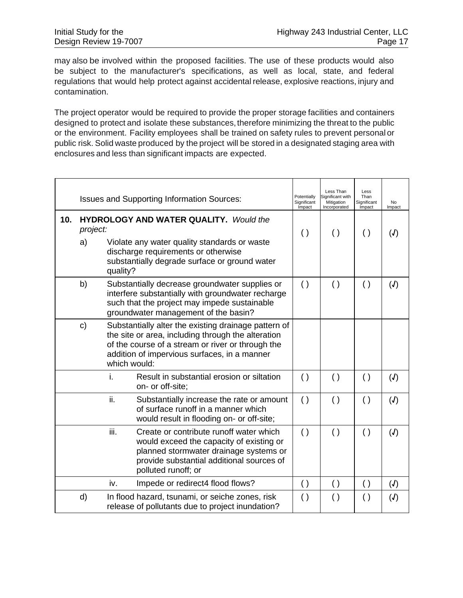may also be involved within the proposed facilities. The use of these products would also be subject to the manufacturer's specifications, as well as local, state, and federal regulations that would help protect against accidental release, explosive reactions, injury and contamination.

The project operator would be required to provide the proper storage facilities and containers designed to protect and isolate these substances, therefore minimizing the threat to the public or the environment. Facility employees shall be trained on safety rules to prevent personal or public risk. Solid waste produced by the project will be stored in a designated staging area with enclosures and less than significant impacts are expected.

|     |               |                                                           | <b>Issues and Supporting Information Sources:</b>                                                                                                                                                               | Potentially<br>Significant<br>Impact | Less Than<br>Significant with<br>Mitigation<br>Incorporated | Less<br>Than<br>Significant<br>Impact | No<br>Impact  |
|-----|---------------|-----------------------------------------------------------|-----------------------------------------------------------------------------------------------------------------------------------------------------------------------------------------------------------------|--------------------------------------|-------------------------------------------------------------|---------------------------------------|---------------|
| 10. |               | <b>HYDROLOGY AND WATER QUALITY.</b> Would the<br>project: |                                                                                                                                                                                                                 | $\left( \ \right)$                   | $\left( \ \right)$                                          | $\left( \ \right)$                    | (J)           |
|     | a)            | quality?                                                  | Violate any water quality standards or waste<br>discharge requirements or otherwise<br>substantially degrade surface or ground water                                                                            |                                      |                                                             |                                       |               |
|     | b)            |                                                           | Substantially decrease groundwater supplies or<br>interfere substantially with groundwater recharge<br>such that the project may impede sustainable<br>groundwater management of the basin?                     | $\left( \ \right)$                   | $\left( \ \right)$                                          | $\left( \ \right)$                    | (J)           |
|     | $\mathbf{c})$ | which would:                                              | Substantially alter the existing drainage pattern of<br>the site or area, including through the alteration<br>of the course of a stream or river or through the<br>addition of impervious surfaces, in a manner |                                      |                                                             |                                       |               |
|     |               | i.                                                        | Result in substantial erosion or siltation<br>on- or off-site;                                                                                                                                                  | ( )                                  | $\left( \ \right)$                                          | $\left( \ \right)$                    | (J)           |
|     |               | ii.                                                       | Substantially increase the rate or amount<br>of surface runoff in a manner which<br>would result in flooding on- or off-site;                                                                                   | ( )                                  | $\left( \ \right)$                                          | $\left( \ \right)$                    | $\mathcal{J}$ |
|     |               | iii.                                                      | Create or contribute runoff water which<br>would exceed the capacity of existing or<br>planned stormwater drainage systems or<br>provide substantial additional sources of<br>polluted runoff; or               | ( )                                  | $\left( \ \right)$                                          | ( )                                   | (J)           |
|     |               | iv.                                                       | Impede or redirect4 flood flows?                                                                                                                                                                                | $\left( \ \right)$                   | $\left( \ \right)$                                          | $\left( \ \right)$                    | (J)           |
|     | d)            |                                                           | In flood hazard, tsunami, or seiche zones, risk<br>release of pollutants due to project inundation?                                                                                                             | ( )                                  | $\left( \ \right)$                                          | $\left( \ \right)$                    | (J)           |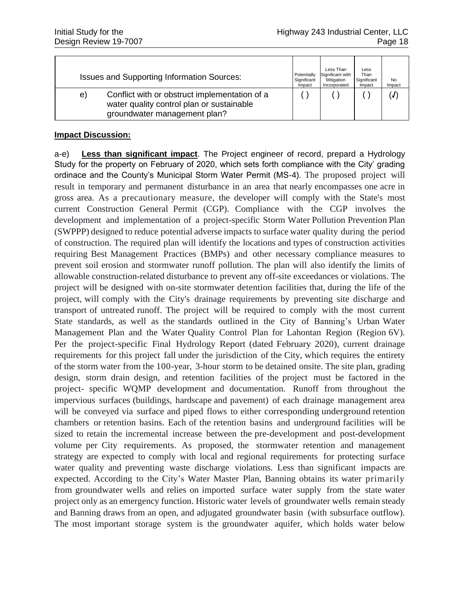|                                                   |                                                                                                                            | Potentially           | Less Than<br>Significant with | Less<br>Than          |              |
|---------------------------------------------------|----------------------------------------------------------------------------------------------------------------------------|-----------------------|-------------------------------|-----------------------|--------------|
| <b>Issues and Supporting Information Sources:</b> |                                                                                                                            | Significant<br>Impact | Mitigation<br>Incorporated    | Significant<br>Impact | No<br>Impact |
| e)                                                | Conflict with or obstruct implementation of a<br>water quality control plan or sustainable<br>groundwater management plan? |                       |                               |                       | (J)          |

a-e) **Less than significant impact**. The Project engineer of record, prepard a Hydrology Study for the property on February of 2020, which sets forth compliance with the City' grading ordinace and the County's Municipal Storm Water Permit (MS-4). The proposed project will result in temporary and permanent disturbance in an area that nearly encompasses one acre in gross area. As a precautionary measure, the developer will comply with the State's most current Construction General Permit (CGP). Compliance with the CGP involves the development and implementation of a project-specific Storm Water Pollution Prevention Plan (SWPPP) designed to reduce potential adverse impacts to surface water quality during the period of construction. The required plan will identify the locations and types of construction activities requiring Best Management Practices (BMPs) and other necessary compliance measures to prevent soil erosion and stormwater runoff pollution. The plan will also identify the limits of allowable construction-related disturbance to prevent any off-site exceedances or violations. The project will be designed with on-site stormwater detention facilities that, during the life of the project, will comply with the City's drainage requirements by preventing site discharge and transport of untreated runoff. The project will be required to comply with the most current State standards, as well as the standards outlined in the City of Banning's Urban Water Management Plan and the Water Quality Control Plan for Lahontan Region (Region 6V). Per the project-specific Final Hydrology Report (dated February 2020), current drainage requirements for this project fall under the jurisdiction of the City, which requires the entirety of the storm water from the 100-year, 3-hour storm to be detained onsite. The site plan, grading design, storm drain design, and retention facilities of the project must be factored in the project- specific WQMP development and documentation. Runoff from throughout the impervious surfaces (buildings, hardscape and pavement) of each drainage management area will be conveyed via surface and piped flows to either corresponding underground retention chambers or retention basins. Each of the retention basins and underground facilities will be sized to retain the incremental increase between the pre-development and post-development volume per City requirements. As proposed, the stormwater retention and management strategy are expected to comply with local and regional requirements for protecting surface water quality and preventing waste discharge violations. Less than significant impacts are expected. According to the City's Water Master Plan, Banning obtains its water primarily from groundwater wells and relies on imported surface water supply from the state water project only as an emergency function. Historic water levels of groundwater wells remain steady and Banning draws from an open, and adjugated groundwater basin (with subsurface outflow). The most important storage system is the groundwater aquifer, which holds water below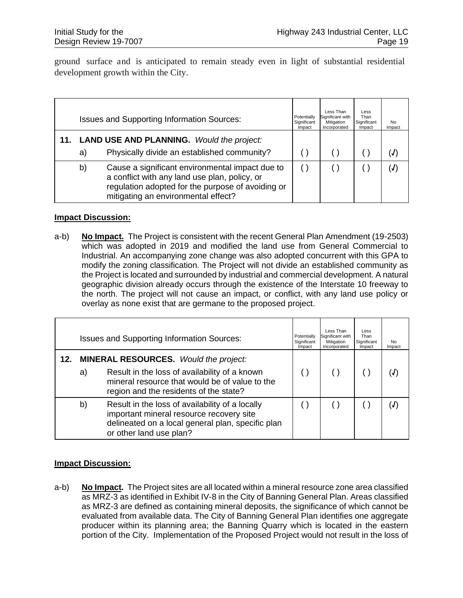ground surface and is anticipated to remain steady even in light of substantial residential development growth within the City.

|    | <b>Issues and Supporting Information Sources:</b>                                                                                                                                            | Potentially<br>Significant<br>Impact | Less Than<br>Significant with<br>Mitigation<br>Incorporated | Less<br>Than<br>Significant<br>Impact | No<br>Impact |
|----|----------------------------------------------------------------------------------------------------------------------------------------------------------------------------------------------|--------------------------------------|-------------------------------------------------------------|---------------------------------------|--------------|
| a) | <b>LAND USE AND PLANNING.</b> Would the project:<br>Physically divide an established community?                                                                                              |                                      |                                                             |                                       |              |
| b) | Cause a significant environmental impact due to<br>a conflict with any land use plan, policy, or<br>regulation adopted for the purpose of avoiding or<br>mitigating an environmental effect? |                                      |                                                             |                                       |              |

#### **Impact Discussion:**

a-b) **No Impact.** The Project is consistent with the recent General Plan Amendment (19-2503) which was adopted in 2019 and modified the land use from General Commercial to Industrial. An accompanying zone change was also adopted concurrent with this GPA to modify the zoning classification. The Project will not divide an established community as the Project is located and surrounded by industrial and commercial development. A natural geographic division already occurs through the existence of the Interstate 10 freeway to the north. The project will not cause an impact, or conflict, with any land use policy or overlay as none exist that are germane to the proposed project.

|     |    | <b>Issues and Supporting Information Sources:</b>                                                                                                                                                                     | Potentially<br>Significant<br>Impact | Less Than<br>Significant with<br>Mitigation<br>Incorporated | Less<br>Than<br>Significant<br>Impact | <b>No</b><br>Impact |
|-----|----|-----------------------------------------------------------------------------------------------------------------------------------------------------------------------------------------------------------------------|--------------------------------------|-------------------------------------------------------------|---------------------------------------|---------------------|
| 12. | a) | <b>MINERAL RESOURCES.</b> Would the project:<br>Result in the loss of availability of a known<br>mineral resource that would be of value to the                                                                       |                                      |                                                             |                                       |                     |
|     | b) | region and the residents of the state?<br>Result in the loss of availability of a locally<br>important mineral resource recovery site<br>delineated on a local general plan, specific plan<br>or other land use plan? |                                      |                                                             |                                       |                     |

### **Impact Discussion:**

a-b) **No Impact.** The Project sites are all located within a mineral resource zone area classified as MRZ-3 as identified in Exhibit IV-8 in the City of Banning General Plan. Areas classified as MRZ-3 are defined as containing mineral deposits, the significance of which cannot be evaluated from available data. The City of Banning General Plan identifies one aggregate producer within its planning area; the Banning Quarry which is located in the eastern portion of the City.Implementation of the Proposed Project would not result in the loss of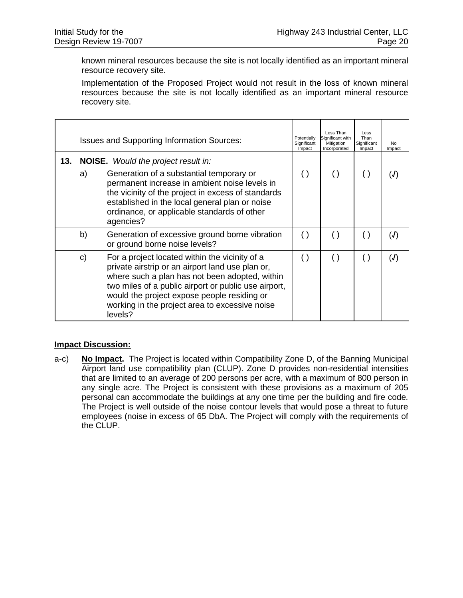known mineral resources because the site is not locally identified as an important mineral resource recovery site.

Implementation of the Proposed Project would not result in the loss of known mineral resources because the site is not locally identified as an important mineral resource recovery site.

|     | <b>Issues and Supporting Information Sources:</b> |                                                                                                                                                                                                                                                                                                                          |                    | Less Than<br>Significant with<br>Mitigation<br>Incorporated | Less<br>Than<br>Significant<br>Impact | No.<br>Impact |
|-----|---------------------------------------------------|--------------------------------------------------------------------------------------------------------------------------------------------------------------------------------------------------------------------------------------------------------------------------------------------------------------------------|--------------------|-------------------------------------------------------------|---------------------------------------|---------------|
| 13. | a)                                                | <b>NOISE.</b> Would the project result in:<br>Generation of a substantial temporary or<br>permanent increase in ambient noise levels in<br>the vicinity of the project in excess of standards<br>established in the local general plan or noise<br>ordinance, or applicable standards of other<br>agencies?              | $\left( \ \right)$ | $\left( \right)$                                            | $\left( \ \right)$                    | (J)           |
|     | b)                                                | Generation of excessive ground borne vibration<br>or ground borne noise levels?                                                                                                                                                                                                                                          | $\left( \right)$   |                                                             | $\left( \ \right)$                    | (J)           |
|     | C)                                                | For a project located within the vicinity of a<br>private airstrip or an airport land use plan or,<br>where such a plan has not been adopted, within<br>two miles of a public airport or public use airport,<br>would the project expose people residing or<br>working in the project area to excessive noise<br>levels? | ( )                |                                                             | ( )                                   | (J)           |

#### **Impact Discussion:**

a-c) **No Impact.** The Project is located within Compatibility Zone D, of the Banning Municipal Airport land use compatibility plan (CLUP). Zone D provides non-residential intensities that are limited to an average of 200 persons per acre, with a maximum of 800 person in any single acre. The Project is consistent with these provisions as a maximum of 205 personal can accommodate the buildings at any one time per the building and fire code. The Project is well outside of the noise contour levels that would pose a threat to future employees (noise in excess of 65 DbA. The Project will comply with the requirements of the CLUP.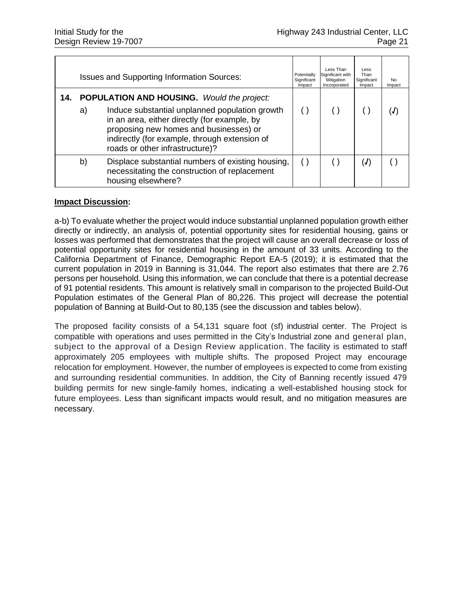|     |    | <b>Issues and Supporting Information Sources:</b>                                                                                                                                                                                                                                 | Potentially<br>Significant<br>Impact | Less Than<br>Significant with<br>Mitigation<br>Incorporated | Less<br>Than<br>Significant<br>Impact | No.<br>Impact |
|-----|----|-----------------------------------------------------------------------------------------------------------------------------------------------------------------------------------------------------------------------------------------------------------------------------------|--------------------------------------|-------------------------------------------------------------|---------------------------------------|---------------|
| 14. | a) | <b>POPULATION AND HOUSING.</b> Would the project:<br>Induce substantial unplanned population growth<br>in an area, either directly (for example, by<br>proposing new homes and businesses) or<br>indirectly (for example, through extension of<br>roads or other infrastructure)? |                                      |                                                             |                                       |               |
|     | b) | Displace substantial numbers of existing housing,<br>necessitating the construction of replacement<br>housing elsewhere?                                                                                                                                                          |                                      |                                                             | (J)                                   |               |

a-b) To evaluate whether the project would induce substantial unplanned population growth either directly or indirectly, an analysis of, potential opportunity sites for residential housing, gains or losses was performed that demonstrates that the project will cause an overall decrease or loss of potential opportunity sites for residential housing in the amount of 33 units. According to the California Department of Finance, Demographic Report EA-5 (2019); it is estimated that the current population in 2019 in Banning is 31,044. The report also estimates that there are 2.76 persons per household. Using this information, we can conclude that there is a potential decrease of 91 potential residents. This amount is relatively small in comparison to the projected Build-Out Population estimates of the General Plan of 80,226. This project will decrease the potential population of Banning at Build-Out to 80,135 (see the discussion and tables below).

The proposed facility consists of a 54,131 square foot (sf) industrial center. The Project is compatible with operations and uses permitted in the City's Industrial zone and general plan, subject to the approval of a Design Review application. The facility is estimated to staff approximately 205 employees with multiple shifts. The proposed Project may encourage relocation for employment. However, the number of employees is expected to come from existing and surrounding residential communities. In addition, the City of Banning recently issued 479 building permits for new single-family homes, indicating a well-established housing stock for future employees. Less than significant impacts would result, and no mitigation measures are necessary.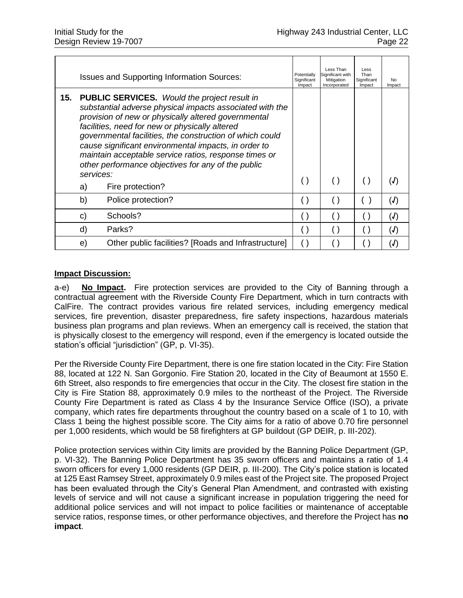|     |                 | <b>Issues and Supporting Information Sources:</b>                                                                                                                                                                                                                                                                                                                                                                                                                               | Potentially<br>Significant<br>Impact | Less Than<br>Significant with<br>Mitigation<br>Incorporated | Less<br>Than<br>Significant<br>Impact | No.<br>Impact |
|-----|-----------------|---------------------------------------------------------------------------------------------------------------------------------------------------------------------------------------------------------------------------------------------------------------------------------------------------------------------------------------------------------------------------------------------------------------------------------------------------------------------------------|--------------------------------------|-------------------------------------------------------------|---------------------------------------|---------------|
| 15. | services:<br>a) | <b>PUBLIC SERVICES.</b> Would the project result in<br>substantial adverse physical impacts associated with the<br>provision of new or physically altered governmental<br>facilities, need for new or physically altered<br>governmental facilities, the construction of which could<br>cause significant environmental impacts, in order to<br>maintain acceptable service ratios, response times or<br>other performance objectives for any of the public<br>Fire protection? | ( )                                  |                                                             | ( )                                   | (J)           |
|     |                 |                                                                                                                                                                                                                                                                                                                                                                                                                                                                                 |                                      |                                                             |                                       |               |
|     | b)              | Police protection?                                                                                                                                                                                                                                                                                                                                                                                                                                                              |                                      |                                                             |                                       | (J)           |
|     | C)              | Schools?                                                                                                                                                                                                                                                                                                                                                                                                                                                                        |                                      |                                                             |                                       | (J)           |
|     | d)              | Parks?                                                                                                                                                                                                                                                                                                                                                                                                                                                                          |                                      |                                                             |                                       | J)            |
|     | e)              | Other public facilities? [Roads and Infrastructure]                                                                                                                                                                                                                                                                                                                                                                                                                             |                                      |                                                             |                                       |               |

a-e) **No Impact.** Fire protection services are provided to the City of Banning through a contractual agreement with the Riverside County Fire Department, which in turn contracts with CalFire. The contract provides various fire related services, including emergency medical services, fire prevention, disaster preparedness, fire safety inspections, hazardous materials business plan programs and plan reviews. When an emergency call is received, the station that is physically closest to the emergency will respond, even if the emergency is located outside the station's official "jurisdiction" (GP, p. VI-35).

Per the Riverside County Fire Department, there is one fire station located in the City: Fire Station 88, located at 122 N. San Gorgonio. Fire Station 20, located in the City of Beaumont at 1550 E. 6th Street, also responds to fire emergencies that occur in the City. The closest fire station in the City is Fire Station 88, approximately 0.9 miles to the northeast of the Project. The Riverside County Fire Department is rated as Class 4 by the Insurance Service Office (ISO), a private company, which rates fire departments throughout the country based on a scale of 1 to 10, with Class 1 being the highest possible score. The City aims for a ratio of above 0.70 fire personnel per 1,000 residents, which would be 58 firefighters at GP buildout (GP DEIR, p. III-202).

Police protection services within City limits are provided by the Banning Police Department (GP, p. VI-32). The Banning Police Department has 35 sworn officers and maintains a ratio of 1.4 sworn officers for every 1,000 residents (GP DEIR, p. III-200). The City's police station is located at 125 East Ramsey Street, approximately 0.9 miles east of the Project site. The proposed Project has been evaluated through the City's General Plan Amendment, and contrasted with existing levels of service and will not cause a significant increase in population triggering the need for additional police services and will not impact to police facilities or maintenance of acceptable service ratios, response times, or other performance objectives, and therefore the Project has **no impact**.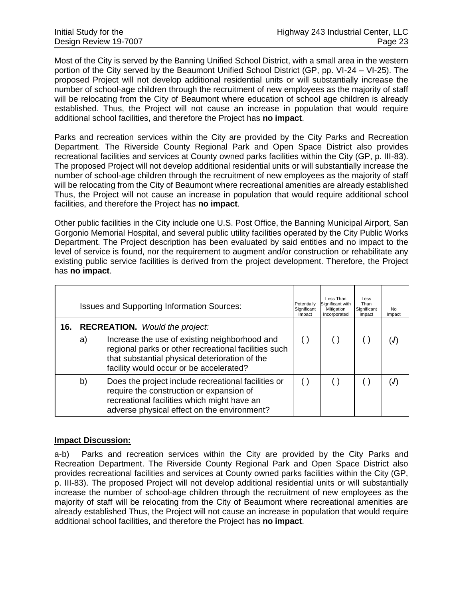Most of the City is served by the Banning Unified School District, with a small area in the western portion of the City served by the Beaumont Unified School District (GP, pp. VI-24 – VI-25). The proposed Project will not develop additional residential units or will substantially increase the number of school-age children through the recruitment of new employees as the majority of staff will be relocating from the City of Beaumont where education of school age children is already established. Thus, the Project will not cause an increase in population that would require additional school facilities, and therefore the Project has **no impact**.

Parks and recreation services within the City are provided by the City Parks and Recreation Department. The Riverside County Regional Park and Open Space District also provides recreational facilities and services at County owned parks facilities within the City (GP, p. III-83). The proposed Project will not develop additional residential units or will substantially increase the number of school-age children through the recruitment of new employees as the majority of staff will be relocating from the City of Beaumont where recreational amenities are already established Thus, the Project will not cause an increase in population that would require additional school facilities, and therefore the Project has **no impact**.

Other public facilities in the City include one U.S. Post Office, the Banning Municipal Airport, San Gorgonio Memorial Hospital, and several public utility facilities operated by the City Public Works Department. The Project description has been evaluated by said entities and no impact to the level of service is found, nor the requirement to augment and/or construction or rehabilitate any existing public service facilities is derived from the project development. Therefore, the Project has **no impact**.

|     | <b>Issues and Supporting Information Sources:</b> |                                                                                                                                                                                                    |  | Less Than<br>Significant with<br>Mitigation<br>Incorporated | Less<br>Than<br>Significant<br>Impact | No.<br>Impact     |
|-----|---------------------------------------------------|----------------------------------------------------------------------------------------------------------------------------------------------------------------------------------------------------|--|-------------------------------------------------------------|---------------------------------------|-------------------|
| 16. | <b>RECREATION.</b> Would the project:             |                                                                                                                                                                                                    |  |                                                             |                                       |                   |
|     | a)                                                | Increase the use of existing neighborhood and<br>regional parks or other recreational facilities such<br>that substantial physical deterioration of the<br>facility would occur or be accelerated? |  |                                                             |                                       | $\mathcal{J}$     |
|     | b)                                                | Does the project include recreational facilities or<br>require the construction or expansion of<br>recreational facilities which might have an<br>adverse physical effect on the environment?      |  |                                                             |                                       | $\left( J\right)$ |

#### **Impact Discussion:**

a-b) Parks and recreation services within the City are provided by the City Parks and Recreation Department. The Riverside County Regional Park and Open Space District also provides recreational facilities and services at County owned parks facilities within the City (GP, p. III-83). The proposed Project will not develop additional residential units or will substantially increase the number of school-age children through the recruitment of new employees as the majority of staff will be relocating from the City of Beaumont where recreational amenities are already established Thus, the Project will not cause an increase in population that would require additional school facilities, and therefore the Project has **no impact**.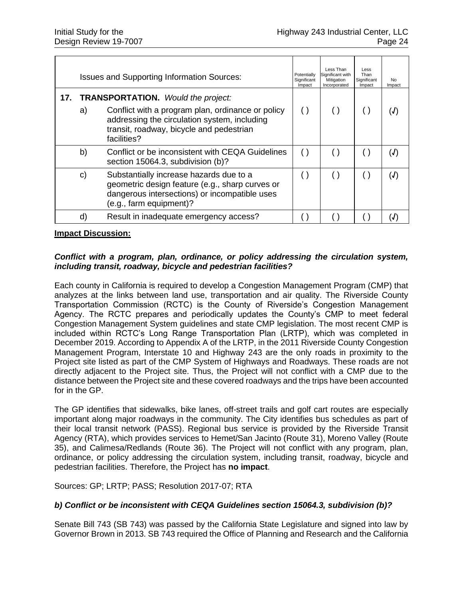| <b>Issues and Supporting Information Sources:</b> |    |                                                                                                                                                                                                           | Potentially<br>Significant<br>Impact | Less Than<br>Significant with<br>Mitigation<br>Incorporated | Less<br>Than<br>Significant<br>Impact | No.<br>Impact |
|---------------------------------------------------|----|-----------------------------------------------------------------------------------------------------------------------------------------------------------------------------------------------------------|--------------------------------------|-------------------------------------------------------------|---------------------------------------|---------------|
| 17.                                               | a) | <b>TRANSPORTATION.</b> Would the project:<br>Conflict with a program plan, ordinance or policy<br>addressing the circulation system, including<br>transit, roadway, bicycle and pedestrian<br>facilities? | ( )                                  |                                                             |                                       | (J)           |
|                                                   | b) | Conflict or be inconsistent with CEQA Guidelines<br>section 15064.3, subdivision (b)?                                                                                                                     | $(\ )$                               |                                                             |                                       | (J)           |
|                                                   | C) | Substantially increase hazards due to a<br>geometric design feature (e.g., sharp curves or<br>dangerous intersections) or incompatible uses<br>(e.g., farm equipment)?                                    | ( )                                  |                                                             |                                       | (J)           |
|                                                   | d) | Result in inadequate emergency access?                                                                                                                                                                    |                                      |                                                             |                                       |               |

#### *Conflict with a program, plan, ordinance, or policy addressing the circulation system, including transit, roadway, bicycle and pedestrian facilities?*

Each county in California is required to develop a Congestion Management Program (CMP) that analyzes at the links between land use, transportation and air quality. The Riverside County Transportation Commission (RCTC) is the County of Riverside's Congestion Management Agency. The RCTC prepares and periodically updates the County's CMP to meet federal Congestion Management System guidelines and state CMP legislation. The most recent CMP is included within RCTC's Long Range Transportation Plan (LRTP), which was completed in December 2019. According to Appendix A of the LRTP, in the 2011 Riverside County Congestion Management Program, Interstate 10 and Highway 243 are the only roads in proximity to the Project site listed as part of the CMP System of Highways and Roadways. These roads are not directly adjacent to the Project site. Thus, the Project will not conflict with a CMP due to the distance between the Project site and these covered roadways and the trips have been accounted for in the GP.

The GP identifies that sidewalks, bike lanes, off-street trails and golf cart routes are especially important along major roadways in the community. The City identifies bus schedules as part of their local transit network (PASS). Regional bus service is provided by the Riverside Transit Agency (RTA), which provides services to Hemet/San Jacinto (Route 31), Moreno Valley (Route 35), and Calimesa/Redlands (Route 36). The Project will not conflict with any program, plan, ordinance, or policy addressing the circulation system, including transit, roadway, bicycle and pedestrian facilities. Therefore, the Project has **no impact**.

Sources: GP; LRTP; PASS; Resolution 2017-07; RTA

### *b) Conflict or be inconsistent with CEQA Guidelines section 15064.3, subdivision (b)?*

Senate Bill 743 (SB 743) was passed by the California State Legislature and signed into law by Governor Brown in 2013. SB 743 required the Office of Planning and Research and the California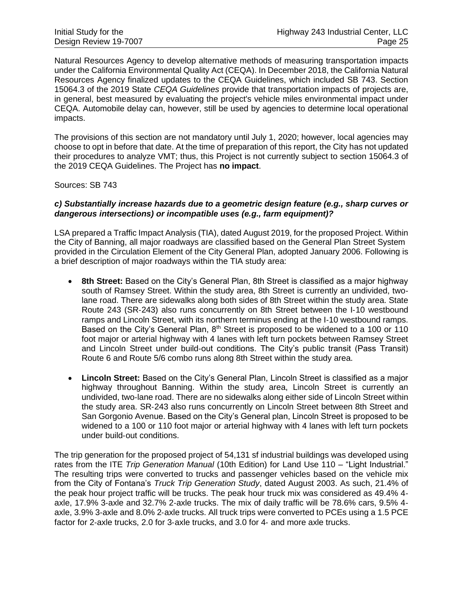Natural Resources Agency to develop alternative methods of measuring transportation impacts under the California Environmental Quality Act (CEQA). In December 2018, the California Natural Resources Agency finalized updates to the CEQA Guidelines, which included SB 743. Section 15064.3 of the 2019 State *CEQA Guidelines* provide that transportation impacts of projects are, in general, best measured by evaluating the project's vehicle miles environmental impact under CEQA. Automobile delay can, however, still be used by agencies to determine local operational impacts.

The provisions of this section are not mandatory until July 1, 2020; however, local agencies may choose to opt in before that date. At the time of preparation of this report, the City has not updated their procedures to analyze VMT; thus, this Project is not currently subject to section 15064.3 of the 2019 CEQA Guidelines. The Project has **no impact**.

Sources: SB 743

#### *c) Substantially increase hazards due to a geometric design feature (e.g., sharp curves or dangerous intersections) or incompatible uses (e.g., farm equipment)?*

LSA prepared a Traffic Impact Analysis (TIA), dated August 2019, for the proposed Project. Within the City of Banning, all major roadways are classified based on the General Plan Street System provided in the Circulation Element of the City General Plan, adopted January 2006. Following is a brief description of major roadways within the TIA study area:

- **8th Street:** Based on the City's General Plan, 8th Street is classified as a major highway south of Ramsey Street. Within the study area, 8th Street is currently an undivided, twolane road. There are sidewalks along both sides of 8th Street within the study area. State Route 243 (SR‐243) also runs concurrently on 8th Street between the I‐10 westbound ramps and Lincoln Street, with its northern terminus ending at the I‐10 westbound ramps. Based on the City's General Plan,  $8<sup>th</sup>$  Street is proposed to be widened to a 100 or 110 foot major or arterial highway with 4 lanes with left turn pockets between Ramsey Street and Lincoln Street under build-out conditions. The City's public transit (Pass Transit) Route 6 and Route 5/6 combo runs along 8th Street within the study area.
- **Lincoln Street:** Based on the City's General Plan, Lincoln Street is classified as a major highway throughout Banning. Within the study area, Lincoln Street is currently an undivided, two‐lane road. There are no sidewalks along either side of Lincoln Street within the study area. SR‐243 also runs concurrently on Lincoln Street between 8th Street and San Gorgonio Avenue. Based on the City's General plan, Lincoln Street is proposed to be widened to a 100 or 110 foot major or arterial highway with 4 lanes with left turn pockets under build‐out conditions.

The trip generation for the proposed project of 54,131 sf industrial buildings was developed using rates from the ITE *Trip Generation Manual* (10th Edition) for Land Use 110 – "Light Industrial." The resulting trips were converted to trucks and passenger vehicles based on the vehicle mix from the City of Fontana's *Truck Trip Generation Study*, dated August 2003. As such, 21.4% of the peak hour project traffic will be trucks. The peak hour truck mix was considered as 49.4% 4‐ axle, 17.9% 3‐axle and 32.7% 2‐axle trucks. The mix of daily traffic will be 78.6% cars, 9.5% 4‐ axle, 3.9% 3‐axle and 8.0% 2‐axle trucks. All truck trips were converted to PCEs using a 1.5 PCE factor for 2‐axle trucks, 2.0 for 3‐axle trucks, and 3.0 for 4‐ and more axle trucks.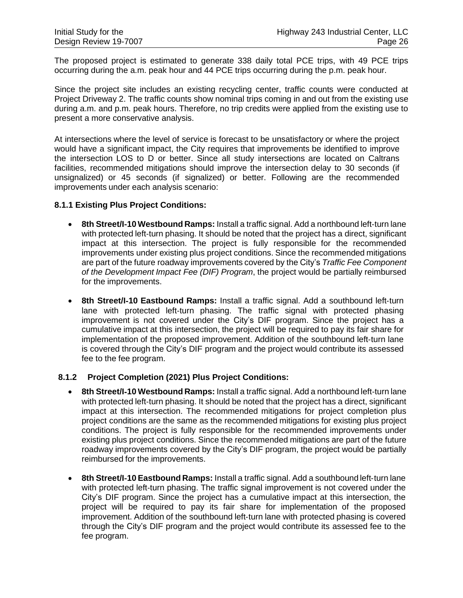The proposed project is estimated to generate 338 daily total PCE trips, with 49 PCE trips occurring during the a.m. peak hour and 44 PCE trips occurring during the p.m. peak hour.

Since the project site includes an existing recycling center, traffic counts were conducted at Project Driveway 2. The traffic counts show nominal trips coming in and out from the existing use during a.m. and p.m. peak hours. Therefore, no trip credits were applied from the existing use to present a more conservative analysis.

At intersections where the level of service is forecast to be unsatisfactory or where the project would have a significant impact, the City requires that improvements be identified to improve the intersection LOS to D or better. Since all study intersections are located on Caltrans facilities, recommended mitigations should improve the intersection delay to 30 seconds (if unsignalized) or 45 seconds (if signalized) or better. Following are the recommended improvements under each analysis scenario:

#### **8.1.1 Existing Plus Project Conditions:**

- **8th Street/I**‐**10 Westbound Ramps:** Install a traffic signal. Add a northbound left‐turn lane with protected left-turn phasing. It should be noted that the project has a direct, significant impact at this intersection. The project is fully responsible for the recommended improvements under existing plus project conditions. Since the recommended mitigations are part of the future roadway improvements covered by the City's *Traffic Fee Component of the Development Impact Fee (DIF) Program*, the project would be partially reimbursed for the improvements.
- **8th Street/I**‐**10 Eastbound Ramps:** Install a traffic signal. Add a southbound left‐turn lane with protected left-turn phasing. The traffic signal with protected phasing improvement is not covered under the City's DIF program. Since the project has a cumulative impact at this intersection, the project will be required to pay its fair share for implementation of the proposed improvement. Addition of the southbound left‐turn lane is covered through the City's DIF program and the project would contribute its assessed fee to the fee program.

#### **8.1.2 Project Completion (2021) Plus Project Conditions:**

- **8th Street/I**‐**10 Westbound Ramps:** Install a traffic signal. Add a northbound left‐turn lane with protected left-turn phasing. It should be noted that the project has a direct, significant impact at this intersection. The recommended mitigations for project completion plus project conditions are the same as the recommended mitigations for existing plus project conditions. The project is fully responsible for the recommended improvements under existing plus project conditions. Since the recommended mitigations are part of the future roadway improvements covered by the City's DIF program, the project would be partially reimbursed for the improvements.
- **8th Street/I**‐**10 Eastbound Ramps:** Install a traffic signal. Add a southbound left‐turn lane with protected left-turn phasing. The traffic signal improvement is not covered under the City's DIF program. Since the project has a cumulative impact at this intersection, the project will be required to pay its fair share for implementation of the proposed improvement. Addition of the southbound left‐turn lane with protected phasing is covered through the City's DIF program and the project would contribute its assessed fee to the fee program.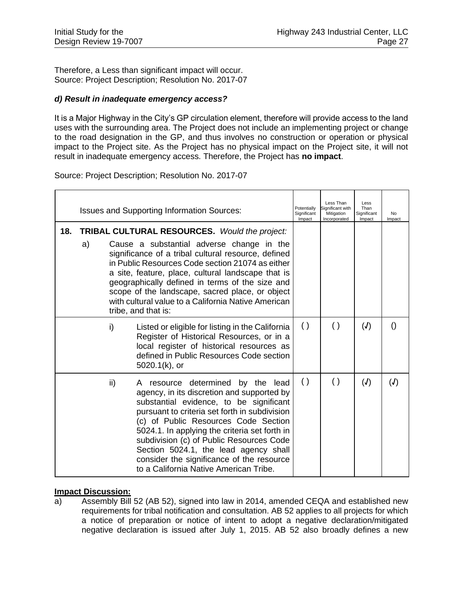Therefore, a Less than significant impact will occur. Source: Project Description; Resolution No. 2017-07

#### *d) Result in inadequate emergency access?*

It is a Major Highway in the City's GP circulation element, therefore will provide access to the land uses with the surrounding area. The Project does not include an implementing project or change to the road designation in the GP, and thus involves no construction or operation or physical impact to the Project site. As the Project has no physical impact on the Project site, it will not result in inadequate emergency access. Therefore, the Project has **no impact**.

Source: Project Description; Resolution No. 2017-07

| 18. |    |                                                                                                                                                                                                                                                                                                                                                                                                                                                        | <b>Issues and Supporting Information Sources:</b>                                                                                                                                                                                                                                                                                                                                                                                                | Potentially<br>Significant<br>Impact | Less Than<br>Significant with<br>Mitigation<br>Incorporated | Less<br>Than<br>Significant<br>Impact | No<br>Impact     |
|-----|----|--------------------------------------------------------------------------------------------------------------------------------------------------------------------------------------------------------------------------------------------------------------------------------------------------------------------------------------------------------------------------------------------------------------------------------------------------------|--------------------------------------------------------------------------------------------------------------------------------------------------------------------------------------------------------------------------------------------------------------------------------------------------------------------------------------------------------------------------------------------------------------------------------------------------|--------------------------------------|-------------------------------------------------------------|---------------------------------------|------------------|
|     | a) | <b>TRIBAL CULTURAL RESOURCES.</b> Would the project:<br>Cause a substantial adverse change in the<br>significance of a tribal cultural resource, defined<br>in Public Resources Code section 21074 as either<br>a site, feature, place, cultural landscape that is<br>geographically defined in terms of the size and<br>scope of the landscape, sacred place, or object<br>with cultural value to a California Native American<br>tribe, and that is: |                                                                                                                                                                                                                                                                                                                                                                                                                                                  |                                      |                                                             |                                       |                  |
|     |    | i)                                                                                                                                                                                                                                                                                                                                                                                                                                                     | Listed or eligible for listing in the California<br>Register of Historical Resources, or in a<br>local register of historical resources as<br>defined in Public Resources Code section<br>5020.1(k), or                                                                                                                                                                                                                                          | $\left( \ \right)$                   | $\left( \ \right)$                                          | $\mathcal{L}(\mathcal{L})$            | $\left( \right)$ |
|     |    | ii)                                                                                                                                                                                                                                                                                                                                                                                                                                                    | A resource determined by the lead<br>agency, in its discretion and supported by<br>substantial evidence, to be significant<br>pursuant to criteria set forth in subdivision<br>(c) of Public Resources Code Section<br>5024.1. In applying the criteria set forth in<br>subdivision (c) of Public Resources Code<br>Section 5024.1, the lead agency shall<br>consider the significance of the resource<br>to a California Native American Tribe. | $\left( \ \right)$                   | $\left( \ \right)$                                          | (J)                                   | (J)              |

#### **Impact Discussion:**

a) Assembly Bill 52 (AB 52), signed into law in 2014, amended CEQA and established new requirements for tribal notification and consultation. AB 52 applies to all projects for which a notice of preparation or notice of intent to adopt a negative declaration/mitigated negative declaration is issued after July 1, 2015. AB 52 also broadly defines a new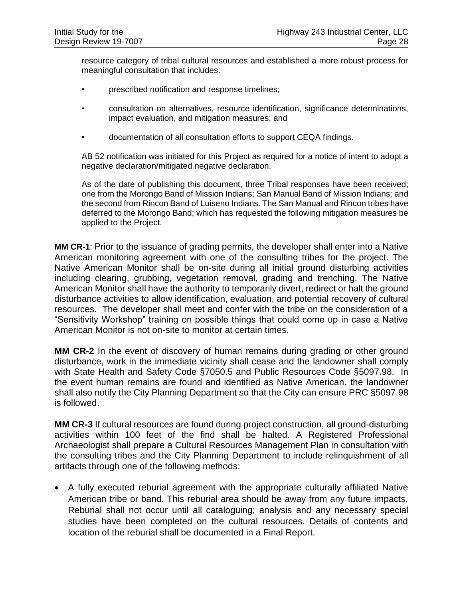resource category of tribal cultural resources and established a more robust process for meaningful consultation that includes:

- prescribed notification and response timelines;
- consultation on alternatives, resource identification, significance determinations, impact evaluation, and mitigation measures; and
- documentation of all consultation efforts to support CEQA findings.

AB 52 notification was initiated for this Project as required for a notice of intent to adopt a negative declaration/mitigated negative declaration.

As of the date of publishing this document, three Tribal responses have been received; one from the Morongo Band of Mission Indians; San Manual Band of Mission Indians; and the second from Rincon Band of Luiseno Indians. The San Manual and Rincon tribes have deferred to the Morongo Band; which has requested the following mitigation measures be applied to the Project.

**MM CR-1**: Prior to the issuance of grading permits, the developer shall enter into a Native American monitoring agreement with one of the consulting tribes for the project. The Native American Monitor shall be on-site during all initial ground disturbing activities including clearing, grubbing, vegetation removal, grading and trenching. The Native American Monitor shall have the authority to temporarily divert, redirect or halt the ground disturbance activities to allow identification, evaluation, and potential recovery of cultural resources. The developer shall meet and confer with the tribe on the consideration of a "Sensitivity Workshop" training on possible things that could come up in case a Native American Monitor is not on-site to monitor at certain times.

**MM CR-2** In the event of discovery of human remains during grading or other ground disturbance, work in the immediate vicinity shall cease and the landowner shall comply with State Health and Safety Code §7050.5 and Public Resources Code §5097.98. In the event human remains are found and identified as Native American, the landowner shall also notify the City Planning Department so that the City can ensure PRC §5097.98 is followed.

**MM CR-3** If cultural resources are found during project construction, all ground-disturbing activities within 100 feet of the find shall be halted. A Registered Professional Archaeologist shall prepare a Cultural Resources Management Plan in consultation with the consulting tribes and the City Planning Department to include relinquishment of all artifacts through one of the following methods:

• A fully executed reburial agreement with the appropriate culturally affiliated Native American tribe or band. This reburial area should be away from any future impacts. Reburial shall not occur until all cataloguing; analysis and any necessary special studies have been completed on the cultural resources. Details of contents and location of the reburial shall be documented in a Final Report.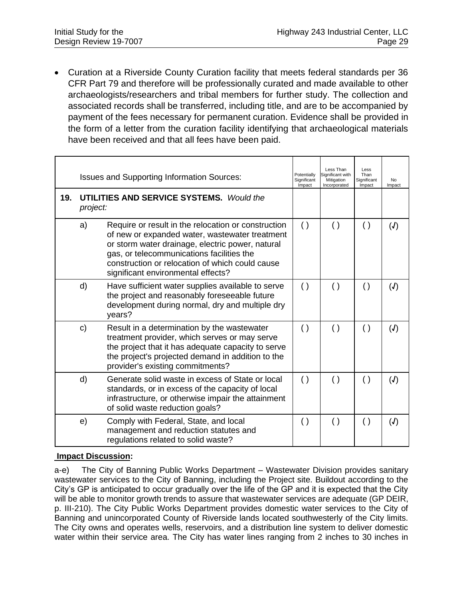• Curation at a Riverside County Curation facility that meets federal standards per 36 CFR Part 79 and therefore will be professionally curated and made available to other archaeologists/researchers and tribal members for further study. The collection and associated records shall be transferred, including title, and are to be accompanied by payment of the fees necessary for permanent curation. Evidence shall be provided in the form of a letter from the curation facility identifying that archaeological materials have been received and that all fees have been paid.

| 19. | <b>Issues and Supporting Information Sources:</b><br><b>UTILITIES AND SERVICE SYSTEMS.</b> Would the |                                                                                                                                                                                                                                                                                                 |                    | Less Than<br>Significant with<br>Mitigation<br>Incorporated | Less<br>Than<br>Significant<br>Impact | No<br>Impact  |
|-----|------------------------------------------------------------------------------------------------------|-------------------------------------------------------------------------------------------------------------------------------------------------------------------------------------------------------------------------------------------------------------------------------------------------|--------------------|-------------------------------------------------------------|---------------------------------------|---------------|
|     | project:                                                                                             |                                                                                                                                                                                                                                                                                                 |                    |                                                             |                                       |               |
|     | a)                                                                                                   | Require or result in the relocation or construction<br>of new or expanded water, wastewater treatment<br>or storm water drainage, electric power, natural<br>gas, or telecommunications facilities the<br>construction or relocation of which could cause<br>significant environmental effects? | $\left( \ \right)$ | $\left( \ \right)$                                          | $\left( \ \right)$                    | (J)           |
|     | d)                                                                                                   | Have sufficient water supplies available to serve<br>the project and reasonably foreseeable future<br>development during normal, dry and multiple dry<br>years?                                                                                                                                 | $\left( \ \right)$ | $\left( \ \right)$                                          | $\left( \right)$                      | (J)           |
|     | $\mathbf{C}$                                                                                         | Result in a determination by the wastewater<br>treatment provider, which serves or may serve<br>the project that it has adequate capacity to serve<br>the project's projected demand in addition to the<br>provider's existing commitments?                                                     | ( )                | $\left( \ \right)$                                          | $\left( \ \right)$                    | $\mathcal{J}$ |
|     | d)                                                                                                   | Generate solid waste in excess of State or local<br>standards, or in excess of the capacity of local<br>infrastructure, or otherwise impair the attainment<br>of solid waste reduction goals?                                                                                                   | $\left( \ \right)$ | $\left( \ \right)$                                          | $\left( \ \right)$                    | $\mathcal{J}$ |
|     | e)                                                                                                   | Comply with Federal, State, and local<br>management and reduction statutes and<br>regulations related to solid waste?                                                                                                                                                                           | $\left( \ \right)$ | $\left( \ \right)$                                          | $\left( \ \right)$                    | (J)           |

#### **Impact Discussion:**

a-e) The City of Banning Public Works Department – Wastewater Division provides sanitary wastewater services to the City of Banning, including the Project site. Buildout according to the City's GP is anticipated to occur gradually over the life of the GP and it is expected that the City will be able to monitor growth trends to assure that wastewater services are adequate (GP DEIR, p. III-210). The City Public Works Department provides domestic water services to the City of Banning and unincorporated County of Riverside lands located southwesterly of the City limits. The City owns and operates wells, reservoirs, and a distribution line system to deliver domestic water within their service area. The City has water lines ranging from 2 inches to 30 inches in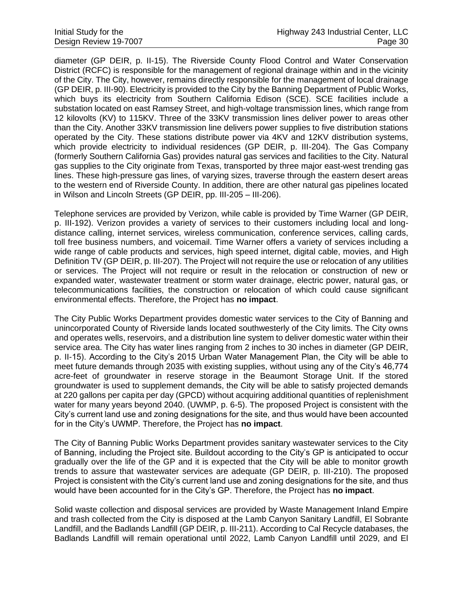diameter (GP DEIR, p. II-15). The Riverside County Flood Control and Water Conservation District (RCFC) is responsible for the management of regional drainage within and in the vicinity of the City. The City, however, remains directly responsible for the management of local drainage (GP DEIR, p. III-90). Electricity is provided to the City by the Banning Department of Public Works, which buys its electricity from Southern California Edison (SCE). SCE facilities include a substation located on east Ramsey Street, and high-voltage transmission lines, which range from 12 kilovolts (KV) to 115KV. Three of the 33KV transmission lines deliver power to areas other than the City. Another 33KV transmission line delivers power supplies to five distribution stations operated by the City. These stations distribute power via 4KV and 12KV distribution systems, which provide electricity to individual residences (GP DEIR, p. III-204). The Gas Company (formerly Southern California Gas) provides natural gas services and facilities to the City. Natural gas supplies to the City originate from Texas, transported by three major east-west trending gas lines. These high-pressure gas lines, of varying sizes, traverse through the eastern desert areas to the western end of Riverside County. In addition, there are other natural gas pipelines located in Wilson and Lincoln Streets (GP DEIR, pp. III-205 – III-206).

Telephone services are provided by Verizon, while cable is provided by Time Warner (GP DEIR, p. III-192). Verizon provides a variety of services to their customers including local and longdistance calling, internet services, wireless communication, conference services, calling cards, toll free business numbers, and voicemail. Time Warner offers a variety of services including a wide range of cable products and services, high speed internet, digital cable, movies, and High Definition TV (GP DEIR, p. III-207). The Project will not require the use or relocation of any utilities or services. The Project will not require or result in the relocation or construction of new or expanded water, wastewater treatment or storm water drainage, electric power, natural gas, or telecommunications facilities, the construction or relocation of which could cause significant environmental effects. Therefore, the Project has **no impact**.

The City Public Works Department provides domestic water services to the City of Banning and unincorporated County of Riverside lands located southwesterly of the City limits. The City owns and operates wells, reservoirs, and a distribution line system to deliver domestic water within their service area. The City has water lines ranging from 2 inches to 30 inches in diameter (GP DEIR, p. II-15). According to the City's 2015 Urban Water Management Plan, the City will be able to meet future demands through 2035 with existing supplies, without using any of the City's 46,774 acre-feet of groundwater in reserve storage in the Beaumont Storage Unit. If the stored groundwater is used to supplement demands, the City will be able to satisfy projected demands at 220 gallons per capita per day (GPCD) without acquiring additional quantities of replenishment water for many years beyond 2040. (UWMP, p. 6-5). The proposed Project is consistent with the City's current land use and zoning designations for the site, and thus would have been accounted for in the City's UWMP. Therefore, the Project has **no impact**.

The City of Banning Public Works Department provides sanitary wastewater services to the City of Banning, including the Project site. Buildout according to the City's GP is anticipated to occur gradually over the life of the GP and it is expected that the City will be able to monitor growth trends to assure that wastewater services are adequate (GP DEIR, p. III-210). The proposed Project is consistent with the City's current land use and zoning designations for the site, and thus would have been accounted for in the City's GP. Therefore, the Project has **no impact**.

Solid waste collection and disposal services are provided by Waste Management Inland Empire and trash collected from the City is disposed at the Lamb Canyon Sanitary Landfill, El Sobrante Landfill, and the Badlands Landfill (GP DEIR, p. III-211). According to Cal Recycle databases, the Badlands Landfill will remain operational until 2022, Lamb Canyon Landfill until 2029, and El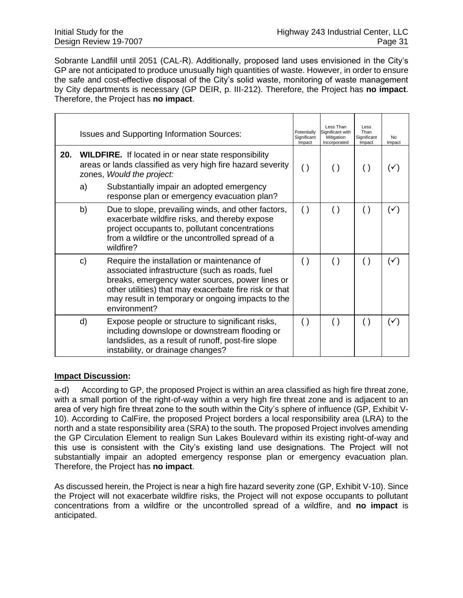Sobrante Landfill until 2051 (CAL-R). Additionally, proposed land uses envisioned in the City's GP are not anticipated to produce unusually high quantities of waste. However, in order to ensure the safe and cost-effective disposal of the City's solid waste, monitoring of waste management by City departments is necessary (GP DEIR, p. III-212). Therefore, the Project has **no impact**. Therefore, the Project has **no impact**.

|     | <b>Issues and Supporting Information Sources:</b>                                                                                                       |                                                                                                                                                                                                                                                                                |                    | Less Than<br>Significant with<br>Mitigation<br>Incorporated | Less<br>Than<br>Significant<br>Impact | No.<br>Impact  |
|-----|---------------------------------------------------------------------------------------------------------------------------------------------------------|--------------------------------------------------------------------------------------------------------------------------------------------------------------------------------------------------------------------------------------------------------------------------------|--------------------|-------------------------------------------------------------|---------------------------------------|----------------|
| 20. | <b>WILDFIRE.</b> If located in or near state responsibility<br>areas or lands classified as very high fire hazard severity<br>zones, Would the project: |                                                                                                                                                                                                                                                                                | $\left( \ \right)$ | $\left( \ \right)$                                          | $\left( \ \right)$                    | $(\checkmark)$ |
|     | a)                                                                                                                                                      | Substantially impair an adopted emergency<br>response plan or emergency evacuation plan?                                                                                                                                                                                       |                    |                                                             |                                       |                |
|     | b)                                                                                                                                                      | Due to slope, prevailing winds, and other factors,<br>exacerbate wildfire risks, and thereby expose<br>project occupants to, pollutant concentrations<br>from a wildfire or the uncontrolled spread of a<br>wildfire?                                                          | $\left( \ \right)$ | $\left( \ \right)$                                          | $\left( \ \right)$                    | $(\checkmark)$ |
|     | C)                                                                                                                                                      | Require the installation or maintenance of<br>associated infrastructure (such as roads, fuel<br>breaks, emergency water sources, power lines or<br>other utilities) that may exacerbate fire risk or that<br>may result in temporary or ongoing impacts to the<br>environment? | $\left( \ \right)$ | $\left( \ \right)$                                          | $\left( \ \right)$                    | $(\checkmark)$ |
|     | d)                                                                                                                                                      | Expose people or structure to significant risks,<br>including downslope or downstream flooding or<br>landslides, as a result of runoff, post-fire slope<br>instability, or drainage changes?                                                                                   | $\left( \ \right)$ | $\left( \ \right)$                                          | $\left( \ \right)$                    | $(\checkmark)$ |

#### **Impact Discussion:**

a-d) According to GP, the proposed Project is within an area classified as high fire threat zone, with a small portion of the right-of-way within a very high fire threat zone and is adiacent to an area of very high fire threat zone to the south within the City's sphere of influence (GP, Exhibit V-10). According to CalFire, the proposed Project borders a local responsibility area (LRA) to the north and a state responsibility area (SRA) to the south. The proposed Project involves amending the GP Circulation Element to realign Sun Lakes Boulevard within its existing right-of-way and this use is consistent with the City's existing land use designations. The Project will not substantially impair an adopted emergency response plan or emergency evacuation plan. Therefore, the Project has **no impact**.

As discussed herein, the Project is near a high fire hazard severity zone (GP, Exhibit V-10). Since the Project will not exacerbate wildfire risks, the Project will not expose occupants to pollutant concentrations from a wildfire or the uncontrolled spread of a wildfire, and **no impact** is anticipated.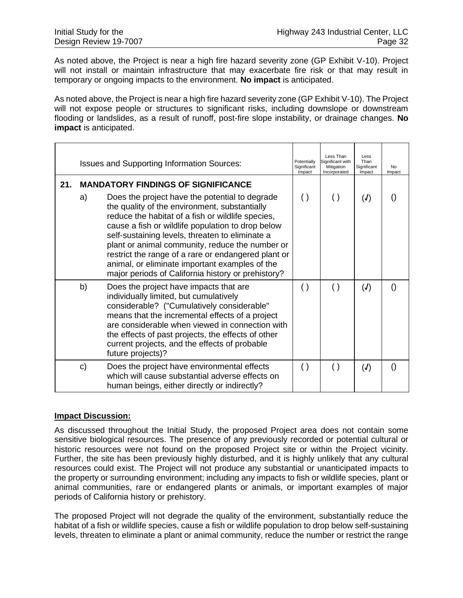As noted above, the Project is near a high fire hazard severity zone (GP Exhibit V-10). Project will not install or maintain infrastructure that may exacerbate fire risk or that may result in temporary or ongoing impacts to the environment. **No impact** is anticipated.

As noted above, the Project is near a high fire hazard severity zone (GP Exhibit V-10). The Project will not expose people or structures to significant risks, including downslope or downstream flooding or landslides, as a result of runoff, post-fire slope instability, or drainage changes. **No impact** is anticipated.

|     | <b>Issues and Supporting Information Sources:</b> |                                                                                                                                                                                                                                                                                                                                                                                                                                                                                                                             |                    | Less Than<br>Significant with<br>Mitigation<br>Incorporated | Less<br>Than<br>Significant<br>Impact | No<br>Impact     |
|-----|---------------------------------------------------|-----------------------------------------------------------------------------------------------------------------------------------------------------------------------------------------------------------------------------------------------------------------------------------------------------------------------------------------------------------------------------------------------------------------------------------------------------------------------------------------------------------------------------|--------------------|-------------------------------------------------------------|---------------------------------------|------------------|
| 21. | a)                                                | <b>MANDATORY FINDINGS OF SIGNIFICANCE</b><br>Does the project have the potential to degrade<br>the quality of the environment, substantially<br>reduce the habitat of a fish or wildlife species,<br>cause a fish or wildlife population to drop below<br>self-sustaining levels, threaten to eliminate a<br>plant or animal community, reduce the number or<br>restrict the range of a rare or endangered plant or<br>animal, or eliminate important examples of the<br>major periods of California history or prehistory? | $\left( \ \right)$ | $\left( \ \right)$                                          | (J)                                   | $\left( \right)$ |
|     | b)                                                | Does the project have impacts that are<br>individually limited, but cumulatively<br>considerable? ("Cumulatively considerable"<br>means that the incremental effects of a project<br>are considerable when viewed in connection with<br>the effects of past projects, the effects of other<br>current projects, and the effects of probable<br>future projects)?                                                                                                                                                            | $\left( \ \right)$ | $\left( \ \right)$                                          | (J)                                   | $\left( \right)$ |
|     | C)                                                | Does the project have environmental effects<br>which will cause substantial adverse effects on<br>human beings, either directly or indirectly?                                                                                                                                                                                                                                                                                                                                                                              | $\left( \ \right)$ | $\left( \ \right)$                                          | (J)                                   | $\left( \right)$ |

#### **Impact Discussion:**

As discussed throughout the Initial Study, the proposed Project area does not contain some sensitive biological resources. The presence of any previously recorded or potential cultural or historic resources were not found on the proposed Project site or within the Project vicinity. Further, the site has been previously highly disturbed, and it is highly unlikely that any cultural resources could exist. The Project will not produce any substantial or unanticipated impacts to the property or surrounding environment; including any impacts to fish or wildlife species, plant or animal communities, rare or endangered plants or animals, or important examples of major periods of California history or prehistory.

The proposed Project will not degrade the quality of the environment, substantially reduce the habitat of a fish or wildlife species, cause a fish or wildlife population to drop below self-sustaining levels, threaten to eliminate a plant or animal community, reduce the number or restrict the range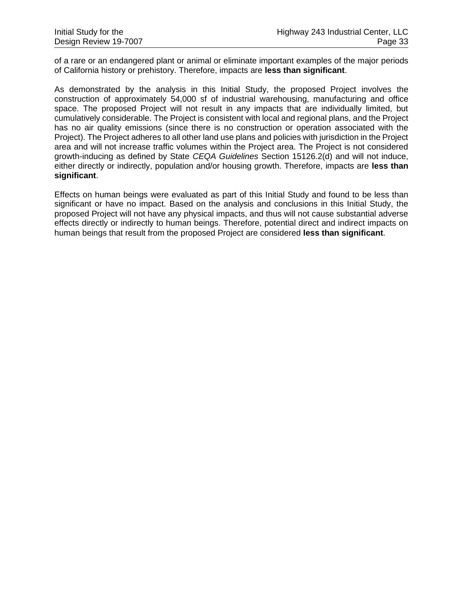of a rare or an endangered plant or animal or eliminate important examples of the major periods of California history or prehistory. Therefore, impacts are **less than significant**.

As demonstrated by the analysis in this Initial Study, the proposed Project involves the construction of approximately 54,000 sf of industrial warehousing, manufacturing and office space. The proposed Project will not result in any impacts that are individually limited, but cumulatively considerable. The Project is consistent with local and regional plans, and the Project has no air quality emissions (since there is no construction or operation associated with the Project). The Project adheres to all other land use plans and policies with jurisdiction in the Project area and will not increase traffic volumes within the Project area. The Project is not considered growth-inducing as defined by State *CEQA Guidelines* Section 15126.2(d) and will not induce, either directly or indirectly, population and/or housing growth. Therefore, impacts are **less than significant**.

Effects on human beings were evaluated as part of this Initial Study and found to be less than significant or have no impact. Based on the analysis and conclusions in this Initial Study, the proposed Project will not have any physical impacts, and thus will not cause substantial adverse effects directly or indirectly to human beings. Therefore, potential direct and indirect impacts on human beings that result from the proposed Project are considered **less than significant**.